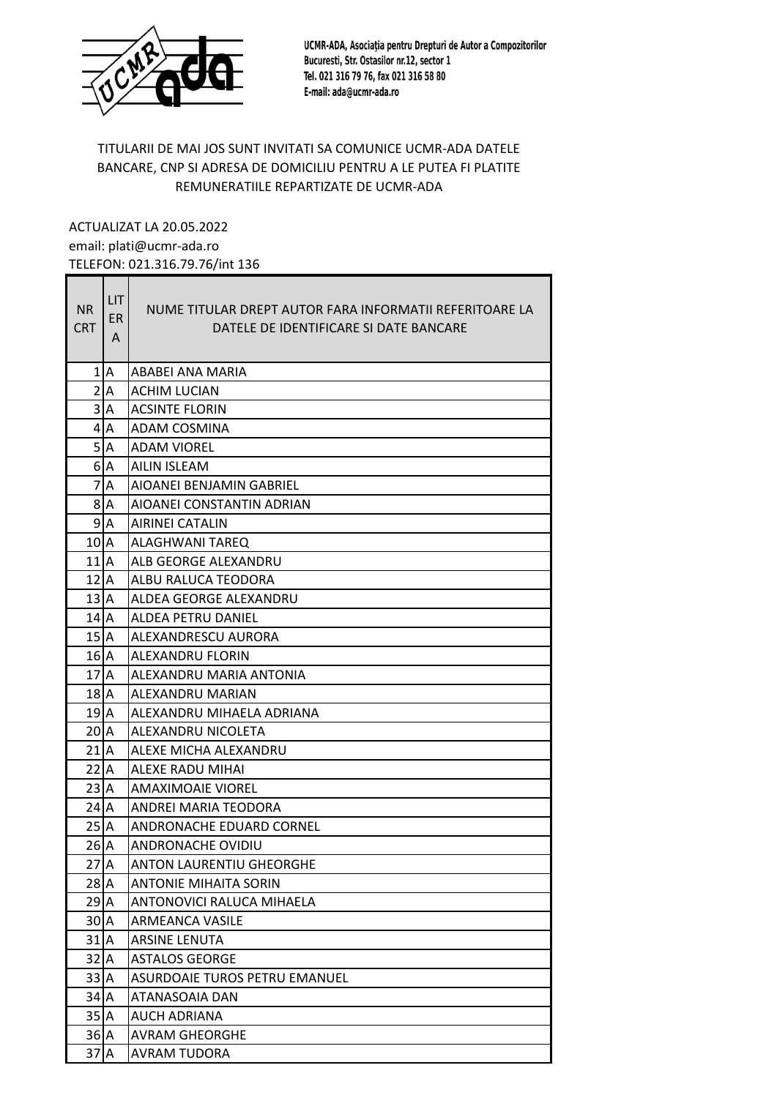

UCMR-ADA, Asociația pentru Drepturi de Autor a Compozitorilor Bucuresti, Str. Ostasilor nr.12, sector 1 Tel. 021 316 79 76, fax 021 316 58 80 E-mail: ada@ucmr-ada.ro

## TITULARII DE MAI JOS SUNT INVITATI SA COMUNICE UCMR-ADA DATELE BANCARE, CNP SI ADRESA DE DOMICILIU PENTRU A LE PUTEA FI PLATITE REMUNERATIILE REPARTIZATE DE UCMR-ADA

ACTUALIZAT LA 20.05.2022 email: plati@ucmr-ada.ro TELEFON: 021.316.79.76/int 136

| <b>NR</b><br><b>CRT</b> | <b>LIT</b><br>ER.<br>A | NUME TITULAR DREPT AUTOR FARA INFORMATII REFERITOARE LA<br>DATELE DE IDENTIFICARE SI DATE BANCARE |
|-------------------------|------------------------|---------------------------------------------------------------------------------------------------|
|                         | $1$ $A$                | ABABEI ANA MARIA                                                                                  |
|                         | 2 A                    | <b>ACHIM LUCIAN</b>                                                                               |
|                         | 3 A                    | <b>ACSINTE FLORIN</b>                                                                             |
|                         | 4 <sub>A</sub>         | ADAM COSMINA                                                                                      |
|                         | 5 A                    | <b>ADAM VIOREL</b>                                                                                |
|                         | $61$ A                 | AILIN ISLEAM                                                                                      |
|                         | $71$ A                 | AIOANEI BENJAMIN GABRIEL                                                                          |
|                         | 8IA                    | AIOANEI CONSTANTIN ADRIAN                                                                         |
|                         | 9 <sub>A</sub>         | <b>AIRINEI CATALIN</b>                                                                            |
| $101$ A                 |                        | ALAGHWANI TAREQ                                                                                   |
| $111$ A                 |                        | ALB GEORGE ALEXANDRU                                                                              |
| $122$ A                 |                        | ALBU RALUCA TEODORA                                                                               |
| 13 <b>A</b>             |                        | ALDEA GEORGE ALEXANDRU                                                                            |
| 14 A                    |                        | ALDEA PETRU DANIEL                                                                                |
| $152$ A                 |                        | ALEXANDRESCU AURORA                                                                               |
| 16 A                    |                        | <b>ALEXANDRU FLORIN</b>                                                                           |
| 17 <b>J</b> A           |                        | ALEXANDRU MARIA ANTONIA                                                                           |
| 18 A                    |                        | ALEXANDRU MARIAN                                                                                  |
| 19   A                  |                        | ALEXANDRU MIHAELA ADRIANA                                                                         |
| 20   A                  |                        | ALEXANDRU NICOLETA                                                                                |
| $21$  A                 |                        | ALEXE MICHA ALEXANDRU                                                                             |
| 22 <sup>1</sup> A       |                        | ALEXE RADU MIHAI                                                                                  |
| 23 <sup>2</sup>         |                        | <b>AMAXIMOAIE VIOREL</b>                                                                          |
| 24 I A                  |                        | ANDREI MARIA TEODORA                                                                              |
| 25 <sup>2</sup>         |                        | ANDRONACHE EDUARD CORNEL                                                                          |
| 26 A                    |                        | ANDRONACHE OVIDIU                                                                                 |
| $27$ <sup>A</sup>       |                        | <b>ANTON LAURENTIU GHEORGHE</b>                                                                   |
| 28 A                    |                        | <b>ANTONIE MIHAITA SORIN</b>                                                                      |
| $29$ <sup>A</sup>       |                        | ANTONOVICI RALUCA MIHAELA                                                                         |
| 30 A                    |                        | ARMEANCA VASILE                                                                                   |
| $31$ <sup>A</sup>       |                        | ARSINE LENUTA                                                                                     |
| 32 A                    |                        | <b>ASTALOS GEORGE</b>                                                                             |
| 33 A                    |                        | <b>ASURDOAIE TUROS PETRU EMANUEL</b>                                                              |
| $34$ $A$                |                        | ATANASOAIA DAN                                                                                    |
| $352$ A                 |                        | AUCH ADRIANA                                                                                      |
| $36$ <sup>A</sup>       |                        | <b>AVRAM GHEORGHE</b>                                                                             |
| $37$ $A$                |                        | <b>AVRAM TUDORA</b>                                                                               |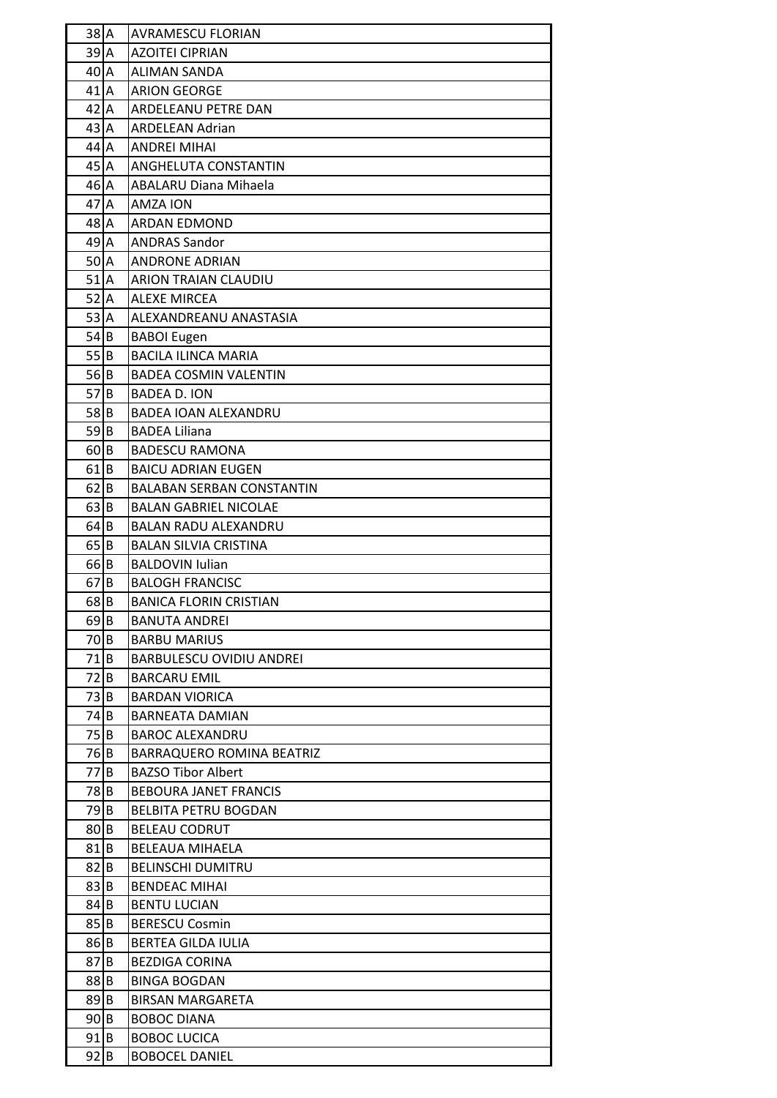| $38$ $A$                                  |          | <b>AVRAMESCU FLORIAN</b>         |
|-------------------------------------------|----------|----------------------------------|
| $39$ <sup><math>A</math></sup>            |          | <b>AZOITEI CIPRIAN</b>           |
| 40 I A                                    |          | <b>ALIMAN SANDA</b>              |
| 41 <sub>1</sub>                           |          | <b>ARION GEORGE</b>              |
| $42$ $A$                                  |          | ARDELEANU PETRE DAN              |
| 43 A                                      |          | <b>ARDELEAN Adrian</b>           |
| $44$ A                                    |          | <b>ANDREI MIHAI</b>              |
| $45$ <sup><math>\overline{A}</math></sup> |          | ANGHELUTA CONSTANTIN             |
| $46$ $A$                                  |          | <b>ABALARU Diana Mihaela</b>     |
| $47$ $A$                                  |          | <b>AMZA ION</b>                  |
| $48$ <sup>A</sup>                         |          | <b>ARDAN EDMOND</b>              |
| $49$ <sup><math>A</math></sup>            |          | <b>ANDRAS Sandor</b>             |
| 50 A                                      |          | <b>ANDRONE ADRIAN</b>            |
| $51$ <sup>A</sup>                         |          | <b>ARION TRAIAN CLAUDIU</b>      |
| $52$ $A$                                  |          | <b>ALEXE MIRCEA</b>              |
| 53 A                                      |          | ALEXANDREANU ANASTASIA           |
| $54$ B                                    |          | <b>BABOI Eugen</b>               |
| 55 B                                      |          | <b>BACILA ILINCA MARIA</b>       |
| 56 B                                      |          | <b>BADEA COSMIN VALENTIN</b>     |
| 57 B                                      |          | <b>BADEA D. ION</b>              |
| 58 <sub>IB</sub>                          |          | BADEA IOAN ALEXANDRU             |
| $59$ B                                    |          | <b>BADEA Liliana</b>             |
| 60 B                                      |          | <b>BADESCU RAMONA</b>            |
| 61 <sub>IB</sub>                          |          | <b>BAICU ADRIAN EUGEN</b>        |
| $62$ B                                    |          | <b>BALABAN SERBAN CONSTANTIN</b> |
| $63$ B                                    |          | <b>BALAN GABRIEL NICOLAE</b>     |
| $64$ B                                    |          | <b>BALAN RADU ALEXANDRU</b>      |
| $65$ B                                    |          | <b>BALAN SILVIA CRISTINA</b>     |
| 66 B                                      |          | <b>BALDOVIN Iulian</b>           |
| $67$ B                                    |          | <b>BALOGH FRANCISC</b>           |
| 68 B                                      |          | <b>BANICA FLORIN CRISTIAN</b>    |
| $69$ B                                    |          | <b>BANUTA ANDREI</b>             |
| 70 B                                      |          | <b>BARBU MARIUS</b>              |
| 71                                        | <b>B</b> | <b>BARBULESCU OVIDIU ANDREI</b>  |
| 72 B                                      |          | <b>BARCARU EMIL</b>              |
| 73 B                                      |          | <b>BARDAN VIORICA</b>            |
| 74 B                                      |          | <b>BARNEATA DAMIAN</b>           |
| 75 B                                      |          | <b>BAROC ALEXANDRU</b>           |
| 76 B                                      |          | BARRAQUERO ROMINA BEATRIZ        |
| 77 B                                      |          | <b>BAZSO Tibor Albert</b>        |
| 78 B                                      |          | <b>BEBOURA JANET FRANCIS</b>     |
| 79 B                                      |          | <b>BELBITA PETRU BOGDAN</b>      |
| 80 B                                      |          | <b>BELEAU CODRUT</b>             |
| $81$ B                                    |          | <b>BELEAUA MIHAELA</b>           |
| 82                                        | B        | <b>BELINSCHI DUMITRU</b>         |
| 83 B                                      |          | <b>BENDEAC MIHAI</b>             |
| 84 B                                      |          | <b>BENTU LUCIAN</b>              |
| 85 B                                      |          | <b>BERESCU Cosmin</b>            |
| $86$ B                                    |          | <b>BERTEA GILDA IULIA</b>        |
| 871                                       | IΒ       | <b>BEZDIGA CORINA</b>            |
| 88 B                                      |          | <b>BINGA BOGDAN</b>              |
| 89 B                                      |          | <b>BIRSAN MARGARETA</b>          |
| 90 B                                      |          | <b>BOBOC DIANA</b>               |
| $91$ B                                    |          | <b>BOBOC LUCICA</b>              |
| 92 B                                      |          | <b>BOBOCEL DANIEL</b>            |
|                                           |          |                                  |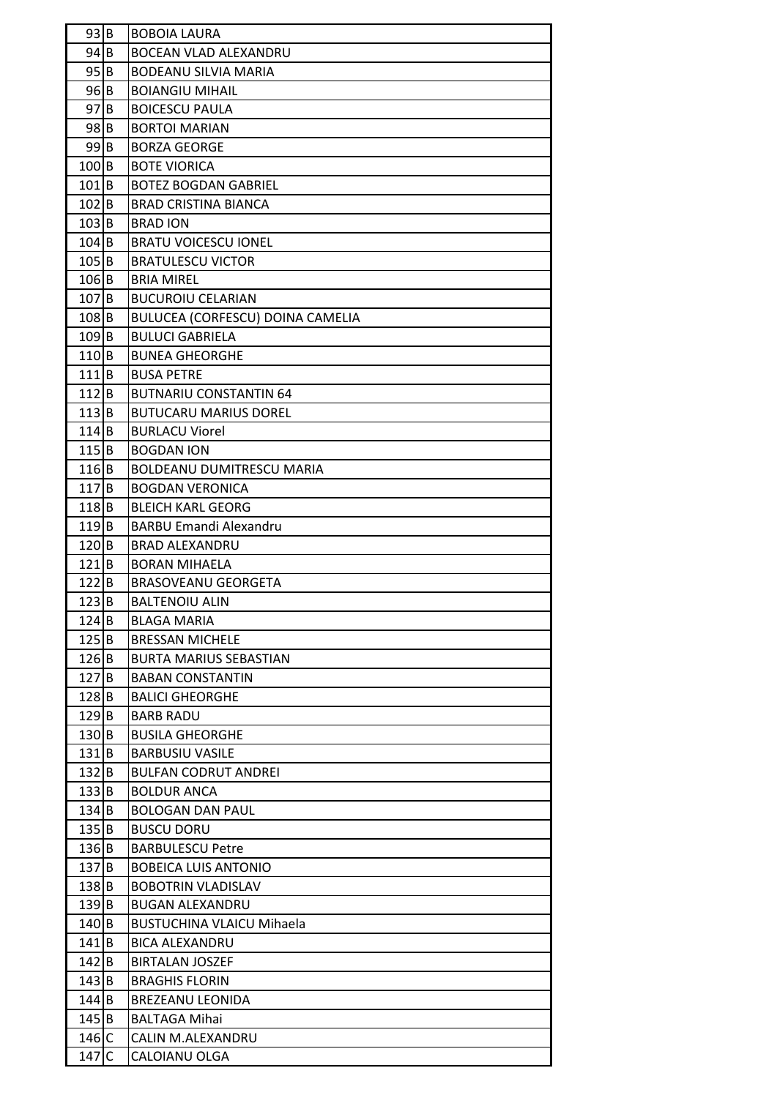| 93 B               | <b>BOBOIA LAURA</b>              |
|--------------------|----------------------------------|
| $94$ B             | <b>BOCEAN VLAD ALEXANDRU</b>     |
| $95$ B             | <b>BODEANU SILVIA MARIA</b>      |
| 96 B               | <b>BOIANGIU MIHAIL</b>           |
| $97$ B             | <b>BOICESCU PAULA</b>            |
| $98$ B             | <b>BORTOI MARIAN</b>             |
| $99$ <sub>B</sub>  | <b>BORZA GEORGE</b>              |
| $100$ B            | <b>BOTE VIORICA</b>              |
| $101$ <sub>B</sub> | <b>BOTEZ BOGDAN GABRIEL</b>      |
| $102$ B            | <b>BRAD CRISTINA BIANCA</b>      |
| $103$ B            | <b>BRAD ION</b>                  |
| $104$ B            | <b>BRATU VOICESCU IONEL</b>      |
| $105$ B            | <b>BRATULESCU VICTOR</b>         |
| $106$ B            | <b>BRIA MIREL</b>                |
| $107$ B            | <b>BUCUROIU CELARIAN</b>         |
| 108B               | BULUCEA (CORFESCU) DOINA CAMELIA |
| $109$ B            | <b>BULUCI GABRIELA</b>           |
| $110$ B            | <b>BUNEA GHEORGHE</b>            |
| $111$ B            | <b>BUSA PETRE</b>                |
| $112$ B            | <b>BUTNARIU CONSTANTIN 64</b>    |
| $113$ B            | <b>BUTUCARU MARIUS DOREL</b>     |
| $114$ B            | <b>BURLACU Viorel</b>            |
| 115 B              | <b>BOGDAN ION</b>                |
| $116$ B            | <b>BOLDEANU DUMITRESCU MARIA</b> |
| $117$ B            | <b>BOGDAN VERONICA</b>           |
| $118$ B            | <b>BLEICH KARL GEORG</b>         |
| $119$ B            | <b>BARBU Emandi Alexandru</b>    |
| $120$ B            | <b>BRAD ALEXANDRU</b>            |
| $121$ B            | <b>BORAN MIHAELA</b>             |
| $122$ B            | <b>BRASOVEANU GEORGETA</b>       |
| $123$ B            | BALTENOIU ALIN                   |
| $124$ B            | BLAGA MARIA                      |
| $125$ B            | <b>BRESSAN MICHELE</b>           |
| $126$ B            | <b>BURTA MARIUS SEBASTIAN</b>    |
| $127$ B            | <b>BABAN CONSTANTIN</b>          |
| $128$ B            | <b>BALICI GHEORGHE</b>           |
| $129$ B            | <b>BARB RADU</b>                 |
| 130 B              | <b>BUSILA GHEORGHE</b>           |
| $131$ B            | <b>BARBUSIU VASILE</b>           |
| 132 B              | <b>BULFAN CODRUT ANDREI</b>      |
| 133 B              | <b>BOLDUR ANCA</b>               |
| 134 B              | <b>BOLOGAN DAN PAUL</b>          |
| 135 B              | <b>BUSCU DORU</b>                |
| 136 B              | <b>BARBULESCU Petre</b>          |
| $137$ B            | <b>BOBEICA LUIS ANTONIO</b>      |
| $138$ B            | <b>BOBOTRIN VLADISLAV</b>        |
| 139 B              | <b>BUGAN ALEXANDRU</b>           |
| $140$ B            | <b>BUSTUCHINA VLAICU Mihaela</b> |
| $141$ B            | <b>BICA ALEXANDRU</b>            |
| $142$ B            | <b>BIRTALAN JOSZEF</b>           |
| $143$ B            | <b>BRAGHIS FLORIN</b>            |
| $144$ B            | <b>BREZEANU LEONIDA</b>          |
| $145$ B            | <b>BALTAGA Mihai</b>             |
| $146$ C            | CALIN M.ALEXANDRU                |
| 147C               | CALOIANU OLGA                    |
|                    |                                  |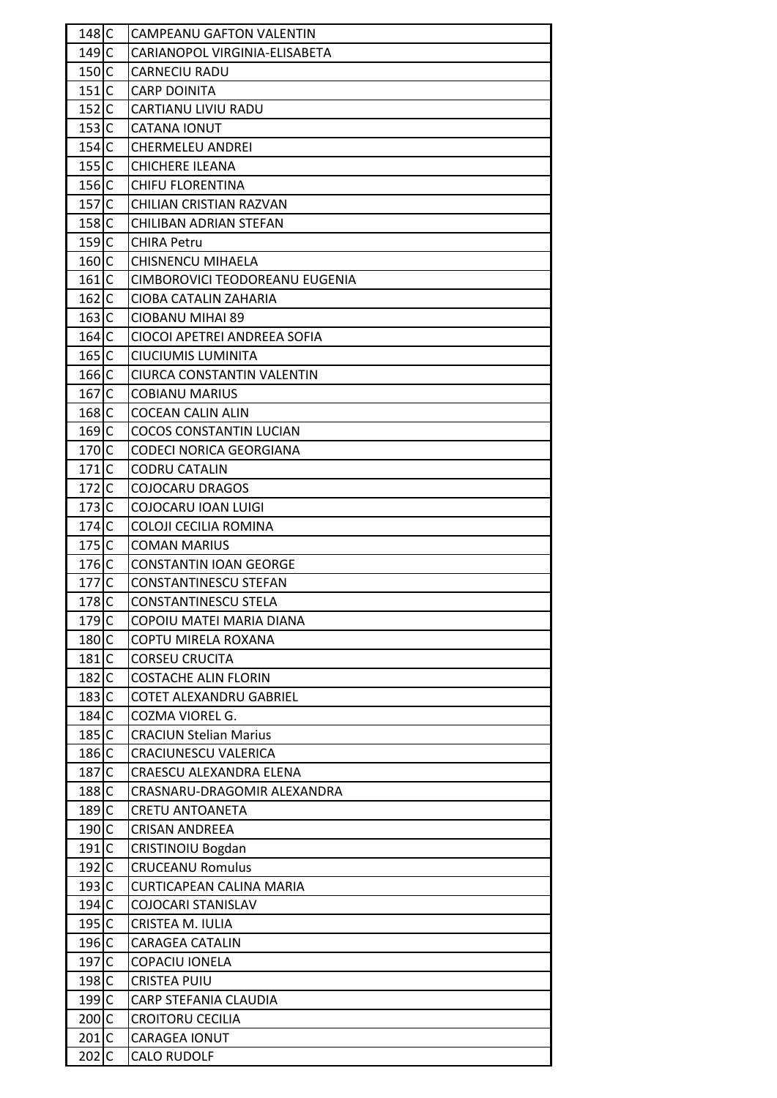| $148$ C              |             | <b>CAMPEANU GAFTON VALENTIN</b> |
|----------------------|-------------|---------------------------------|
| 149 C                |             | CARIANOPOL VIRGINIA-ELISABETA   |
| $150$ <sub>I</sub> C |             | CARNECIU RADU                   |
| $151$ C              |             | <b>CARP DOINITA</b>             |
| $152$ C              |             | CARTIANU LIVIU RADU             |
| 153 C                |             | <b>CATANA IONUT</b>             |
| 154 <sub>1</sub>     |             | <b>CHERMELEU ANDREI</b>         |
| $155$ C              |             | CHICHERE ILEANA                 |
| $156$ C              |             | <b>CHIFU FLORENTINA</b>         |
| $157$ C              |             | CHILIAN CRISTIAN RAZVAN         |
| 158 C                |             | CHILIBAN ADRIAN STEFAN          |
| $159$ C              |             | <b>CHIRA Petru</b>              |
| $160$ C              |             | <b>CHISNENCU MIHAELA</b>        |
| $161$ C              |             | CIMBOROVICI TEODOREANU EUGENIA  |
| $162$ C              |             | CIOBA CATALIN ZAHARIA           |
| $163$ C              |             | CIOBANU MIHAI 89                |
| $164$ C              |             | CIOCOI APETREI ANDREEA SOFIA    |
| $165$ C              |             | CIUCIUMIS LUMINITA              |
| $166$ C              |             | CIURCA CONSTANTIN VALENTIN      |
| $167$ C              |             | <b>COBIANU MARIUS</b>           |
| 168 C                |             | COCEAN CALIN ALIN               |
| $169$ C              |             | <b>COCOS CONSTANTIN LUCIAN</b>  |
| $170$ <sub>I</sub> C |             | CODECI NORICA GEORGIANA         |
| $171$ C              |             | <b>CODRU CATALIN</b>            |
| $172$ C              |             | <b>COJOCARU DRAGOS</b>          |
| $173$ C              |             | COJOCARU IOAN LUIGI             |
| $174$ C              |             | COLOJI CECILIA ROMINA           |
| $175$ C              |             | <b>COMAN MARIUS</b>             |
| $176$ C              |             | <b>CONSTANTIN IOAN GEORGE</b>   |
| 177                  | $\mathsf C$ | CONSTANTINESCU STEFAN           |
| 178 C                |             | <b>CONSTANTINESCU STELA</b>     |
| $179$ C              |             | COPOIU MATEI MARIA DIANA        |
| 180 C                |             | COPTU MIRELA ROXANA             |
| 181C                 |             | <b>CORSEU CRUCITA</b>           |
| $182$ C              |             | <b>COSTACHE ALIN FLORIN</b>     |
| $183$ C              |             | COTET ALEXANDRU GABRIEL         |
| $184$ C              |             | COZMA VIOREL G.                 |
| $185$ C              |             | <b>CRACIUN Stelian Marius</b>   |
| 186 C                |             | CRACIUNESCU VALERICA            |
| 187C                 |             | CRAESCU ALEXANDRA ELENA         |
| $188$ C              |             | CRASNARU-DRAGOMIR ALEXANDRA     |
| 189 C                |             | CRETU ANTOANETA                 |
| 190C                 |             | <b>CRISAN ANDREEA</b>           |
| 191C                 |             | CRISTINOIU Bogdan               |
| $192$ C              |             | <b>CRUCEANU Romulus</b>         |
| 193 C                |             | <b>CURTICAPEAN CALINA MARIA</b> |
| $194$ C              |             | COJOCARI STANISLAV              |
| $195$ C              |             | CRISTEA M. IULIA                |
| 196 C                |             | <b>CARAGEA CATALIN</b>          |
| 197C                 |             | COPACIU IONELA                  |
| 198 C                |             | <b>CRISTEA PUIU</b>             |
| 199C                 |             | CARP STEFANIA CLAUDIA           |
| $200$ C              |             | <b>CROITORU CECILIA</b>         |
| $201$ C              |             | <b>CARAGEA IONUT</b>            |
| $202$ C              |             | <b>CALO RUDOLF</b>              |
|                      |             |                                 |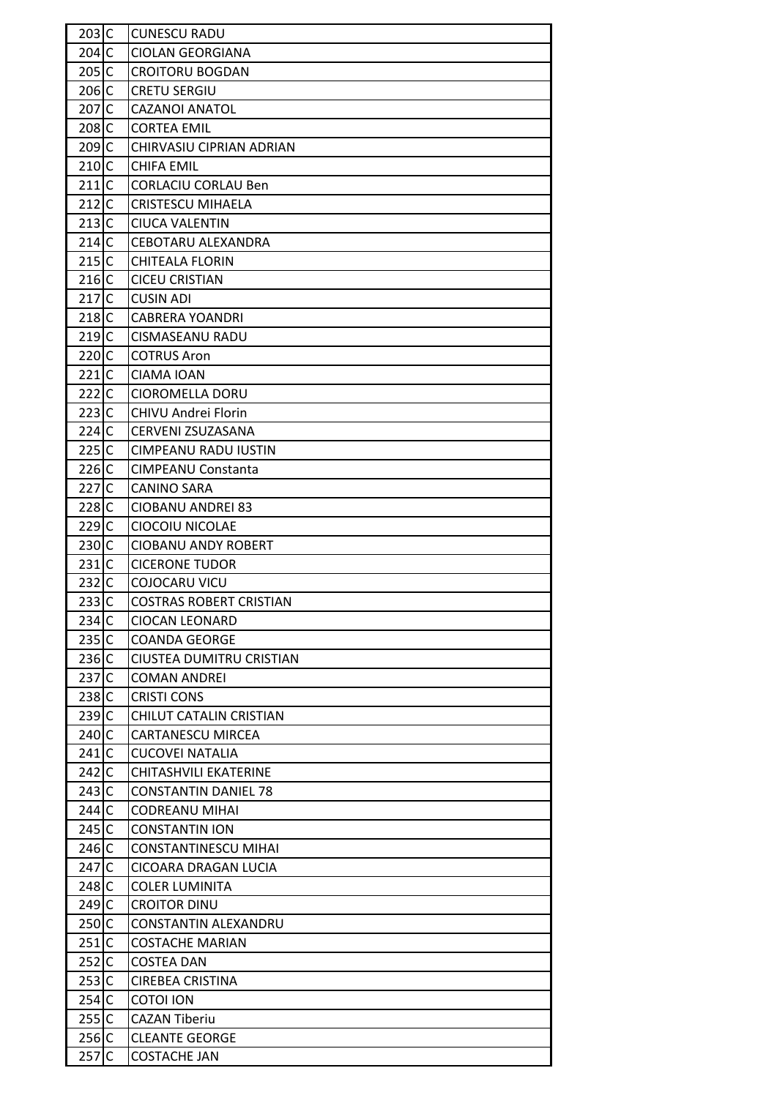| $203$ C           | <b>CUNESCU RADU</b>            |
|-------------------|--------------------------------|
| $204$ C           | <b>CIOLAN GEORGIANA</b>        |
| $205$ C           | <b>CROITORU BOGDAN</b>         |
| 206 C             | <b>CRETU SERGIU</b>            |
| 207C              | <b>CAZANOI ANATOL</b>          |
| 208 C             | <b>CORTEA EMIL</b>             |
| 209 C             | CHIRVASIU CIPRIAN ADRIAN       |
| $210$ C           | <b>CHIFA EMIL</b>              |
| 211C              | <b>CORLACIU CORLAU Ben</b>     |
| $212$ C           | <b>CRISTESCU MIHAELA</b>       |
| 213C              | <b>CIUCA VALENTIN</b>          |
| 214 <sub>IC</sub> | CEBOTARU ALEXANDRA             |
| 215C              | <b>CHITEALA FLORIN</b>         |
| $216$ C           | <b>CICEU CRISTIAN</b>          |
| 217C              | <b>CUSIN ADI</b>               |
| $218$ C           | <b>CABRERA YOANDRI</b>         |
| 219C              | <b>CISMASEANU RADU</b>         |
| 220C              | <b>COTRUS Aron</b>             |
| 221C              |                                |
|                   | CIAMA IOAN                     |
| 222C              | <b>CIOROMELLA DORU</b>         |
| $223$ C           | CHIVU Andrei Florin            |
| $224$ C           | CERVENI ZSUZASANA              |
| 225C              | CIMPEANU RADU IUSTIN           |
| $226$ C           | <b>CIMPEANU Constanta</b>      |
| 227C              | CANINO SARA                    |
| 228 C             | CIOBANU ANDREI 83              |
| $229$ C           | CIOCOIU NICOLAE                |
| 230 C             | <b>CIOBANU ANDY ROBERT</b>     |
| $231$ C           | <b>CICERONE TUDOR</b>          |
| $232$ C           | COJOCARU VICU                  |
| 233C              | <b>COSTRAS ROBERT CRISTIAN</b> |
| $234$ C           | CIOCAN LEONARD                 |
| 235C              | <b>COANDA GEORGE</b>           |
| $236$ C           | CIUSTEA DUMITRU CRISTIAN       |
| 237C              | <b>COMAN ANDREI</b>            |
| 238 C             | <b>CRISTI CONS</b>             |
| 239C              | CHILUT CATALIN CRISTIAN        |
| 240 C             | <b>CARTANESCU MIRCEA</b>       |
| 241C              | <b>CUCOVEI NATALIA</b>         |
| $242$ C           | CHITASHVILI EKATERINE          |
| $243$ C           | <b>CONSTANTIN DANIEL 78</b>    |
| 244C              | <b>CODREANU MIHAI</b>          |
| $245$ C           | <b>CONSTANTIN ION</b>          |
| $246$ C           | CONSTANTINESCU MIHAI           |
| 247 C             | CICOARA DRAGAN LUCIA           |
| $248$ C           | <b>COLER LUMINITA</b>          |
| 249 C             | <b>CROITOR DINU</b>            |
| 250 C             | CONSTANTIN ALEXANDRU           |
| 251C              | <b>COSTACHE MARIAN</b>         |
| $252$ C           | <b>COSTEA DAN</b>              |
| $253$ C           | <b>CIREBEA CRISTINA</b>        |
| $254$ C           | <b>COTOI ION</b>               |
| 255C              | <b>CAZAN Tiberiu</b>           |
| $256$ C           | <b>CLEANTE GEORGE</b>          |
| 257C              | <b>COSTACHE JAN</b>            |
|                   |                                |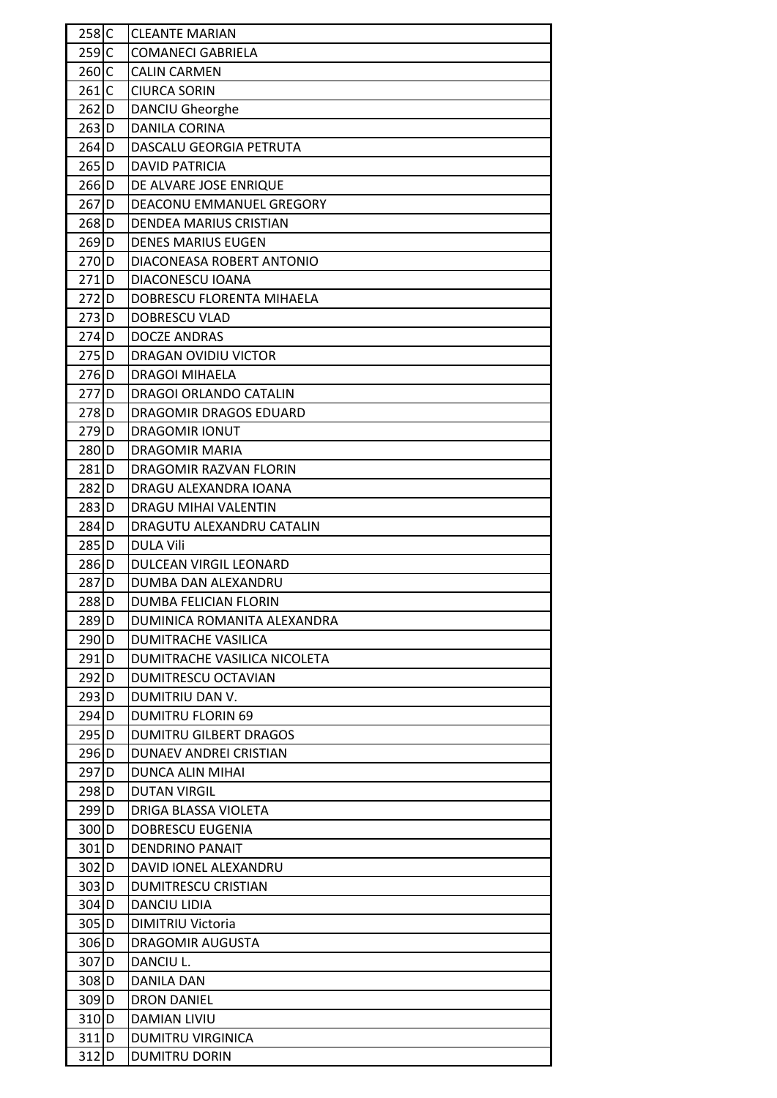| $258$ C            | <b>CLEANTE MARIAN</b>        |
|--------------------|------------------------------|
| $259$ C            | <b>COMANECI GABRIELA</b>     |
| $260$ C            | <b>CALIN CARMEN</b>          |
| $261$ C            | <b>CIURCA SORIN</b>          |
| $262$ D            | DANCIU Gheorghe              |
| $263$ D            | <b>DANILA CORINA</b>         |
| $264$ D            | DASCALU GEORGIA PETRUTA      |
| $265$ D            | <b>DAVID PATRICIA</b>        |
| $266$ D            | DE ALVARE JOSE ENRIQUE       |
| $267$ D            | DEACONU EMMANUEL GREGORY     |
| 268 D              | DENDEA MARIUS CRISTIAN       |
| $269$ <sub>D</sub> | <b>DENES MARIUS EUGEN</b>    |
| 270D               | DIACONEASA ROBERT ANTONIO    |
| $271$ D            | DIACONESCU IOANA             |
| $272$ D            | DOBRESCU FLORENTA MIHAELA    |
| $273$ D            | <b>DOBRESCU VLAD</b>         |
| $274$ D            | DOCZE ANDRAS                 |
| $275$ D            | DRAGAN OVIDIU VICTOR         |
| $276$ D            | <b>DRAGOI MIHAELA</b>        |
| $277$ D            | DRAGOI ORLANDO CATALIN       |
| 278D               | DRAGOMIR DRAGOS EDUARD       |
| 279 D              | <b>DRAGOMIR IONUT</b>        |
| 280 D              | DRAGOMIR MARIA               |
| $281$ D            | DRAGOMIR RAZVAN FLORIN       |
| $282$ D            | DRAGU ALEXANDRA IOANA        |
| $283$ D            | DRAGU MIHAI VALENTIN         |
| 284D               | DRAGUTU ALEXANDRU CATALIN    |
| 285 <sub>ID</sub>  | <b>DULA Vili</b>             |
| $286$ D            | DULCEAN VIRGIL LEONARD       |
| 287 <sub>D</sub>   | DUMBA DAN ALEXANDRU          |
| 288 D              | DUMBA FELICIAN FLORIN        |
| $289$ D            | DUMINICA ROMANITA ALEXANDRA  |
| 290 D              | DUMITRACHE VASILICA          |
| $291$ D            | DUMITRACHE VASILICA NICOLETA |
| $292$ D            | DUMITRESCU OCTAVIAN          |
| 293 D              | DUMITRIU DAN V.              |
| $294$ D            | <b>DUMITRU FLORIN 69</b>     |
| $295$ D            | DUMITRU GILBERT DRAGOS       |
| $296$ D            | DUNAEV ANDREI CRISTIAN       |
| $297$ D            | DUNCA ALIN MIHAI             |
| $298$ D            | <b>DUTAN VIRGIL</b>          |
| $299$ <sub>D</sub> | DRIGA BLASSA VIOLETA         |
| 300 D              | DOBRESCU EUGENIA             |
| $301$ D            | <b>DENDRINO PANAIT</b>       |
| $302$ D            | DAVID IONEL ALEXANDRU        |
| 303 D              | <b>DUMITRESCU CRISTIAN</b>   |
| $304$ D            | DANCIU LIDIA                 |
| $305$ <sub>D</sub> | <b>DIMITRIU Victoria</b>     |
| $306$ <sub>D</sub> | DRAGOMIR AUGUSTA             |
| $307$ D            | DANCIU L.                    |
| $308$ <sub>D</sub> | <b>DANILA DAN</b>            |
| $309$ <sub>D</sub> | <b>DRON DANIEL</b>           |
| 310 D              | <b>DAMIAN LIVIU</b>          |
| $311$ D            | <b>DUMITRU VIRGINICA</b>     |
| 312 D              | <b>DUMITRU DORIN</b>         |
|                    |                              |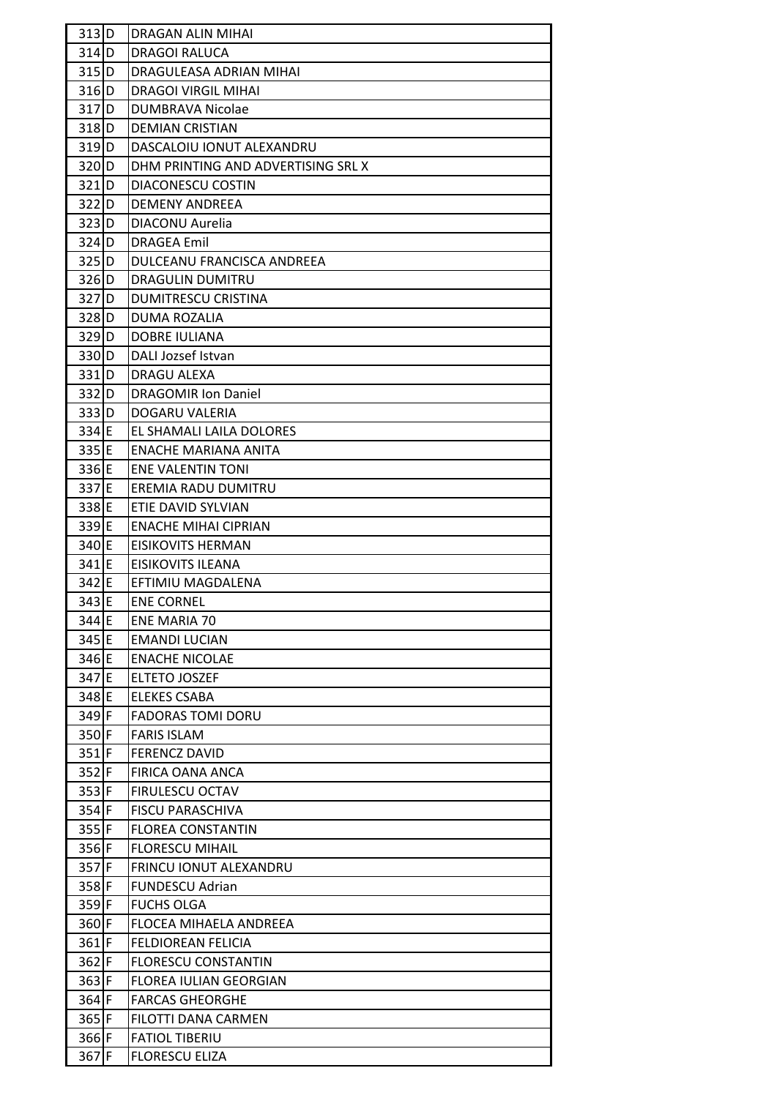| 313 D              | <b>DRAGAN ALIN MIHAI</b>           |
|--------------------|------------------------------------|
| $314$ D            | <b>DRAGOI RALUCA</b>               |
| $315$ D            | DRAGULEASA ADRIAN MIHAI            |
| $316$ D            | DRAGOI VIRGIL MIHAI                |
| 317D               | DUMBRAVA Nicolae                   |
| $318$ D            | <b>DEMIAN CRISTIAN</b>             |
| 319 <sub>ID</sub>  | DASCALOIU IONUT ALEXANDRU          |
| $320$ D            | DHM PRINTING AND ADVERTISING SRL X |
| $321$ D            | DIACONESCU COSTIN                  |
| $322$ D            | <b>DEMENY ANDREEA</b>              |
| $323$ D            | DIACONU Aurelia                    |
| $324$ D            | <b>DRAGEA Emil</b>                 |
| $325$ D            | DULCEANU FRANCISCA ANDREEA         |
| 326 <sub>ID</sub>  | <b>DRAGULIN DUMITRU</b>            |
| $327$ D            | <b>DUMITRESCU CRISTINA</b>         |
| $328$ D            | DUMA ROZALIA                       |
| $329$ D            | <b>DOBRE IULIANA</b>               |
| 330 D              | DALI Jozsef Istvan                 |
| $331$ D            | DRAGU ALEXA                        |
| 332 D              | <b>DRAGOMIR Ion Daniel</b>         |
| 333ID              | DOGARU VALERIA                     |
| 334 E              | EL SHAMALI LAILA DOLORES           |
| 335 E              | ENACHE MARIANA ANITA               |
| 336 E              | <b>ENE VALENTIN TONI</b>           |
| 337 E              | EREMIA RADU DUMITRU                |
| 338 E              | ETIE DAVID SYLVIAN                 |
| 339E               | <b>ENACHE MIHAI CIPRIAN</b>        |
| 340 <b>E</b>       | EISIKOVITS HERMAN                  |
| $341$ <sup>E</sup> | EISIKOVITS ILEANA                  |
| $342$ E            | EFTIMIU MAGDALENA                  |
| 343 E              | ENE CORNEL                         |
| 344 E              | <b>ENE MARIA 70</b>                |
| 345 E              | <b>EMANDI LUCIAN</b>               |
| 346 E              | <b>ENACHE NICOLAE</b>              |
| 347 E              | ELTETO JOSZEF                      |
| 348 E              | <b>ELEKES CSABA</b>                |
| $349$ F            | <b>FADORAS TOMI DORU</b>           |
| 350F               | <b>FARIS ISLAM</b>                 |
| $351$ F            | <b>FERENCZ DAVID</b>               |
| $352$ F            | FIRICA OANA ANCA                   |
| $353$ F            | <b>FIRULESCU OCTAV</b>             |
| $354$ F            | <b>FISCU PARASCHIVA</b>            |
| $355$ F            | <b>FLOREA CONSTANTIN</b>           |
| 356 F              | <b>FLORESCU MIHAIL</b>             |
| $357$ F            | <b>FRINCU IONUT ALEXANDRU</b>      |
| $358$ F            | <b>FUNDESCU Adrian</b>             |
| $359$ F            | <b>FUCHS OLGA</b>                  |
| $360$ F            | FLOCEA MIHAELA ANDREEA             |
| $361$ F            | <b>FELDIOREAN FELICIA</b>          |
| $362$ F            | <b>FLORESCU CONSTANTIN</b>         |
| $363$ F            | <b>FLOREA IULIAN GEORGIAN</b>      |
| $364$ F            | <b>FARCAS GHEORGHE</b>             |
| $365$ F            | FILOTTI DANA CARMEN                |
| $366$ F            | <b>FATIOL TIBERIU</b>              |
| 367 F              | <b>FLORESCU ELIZA</b>              |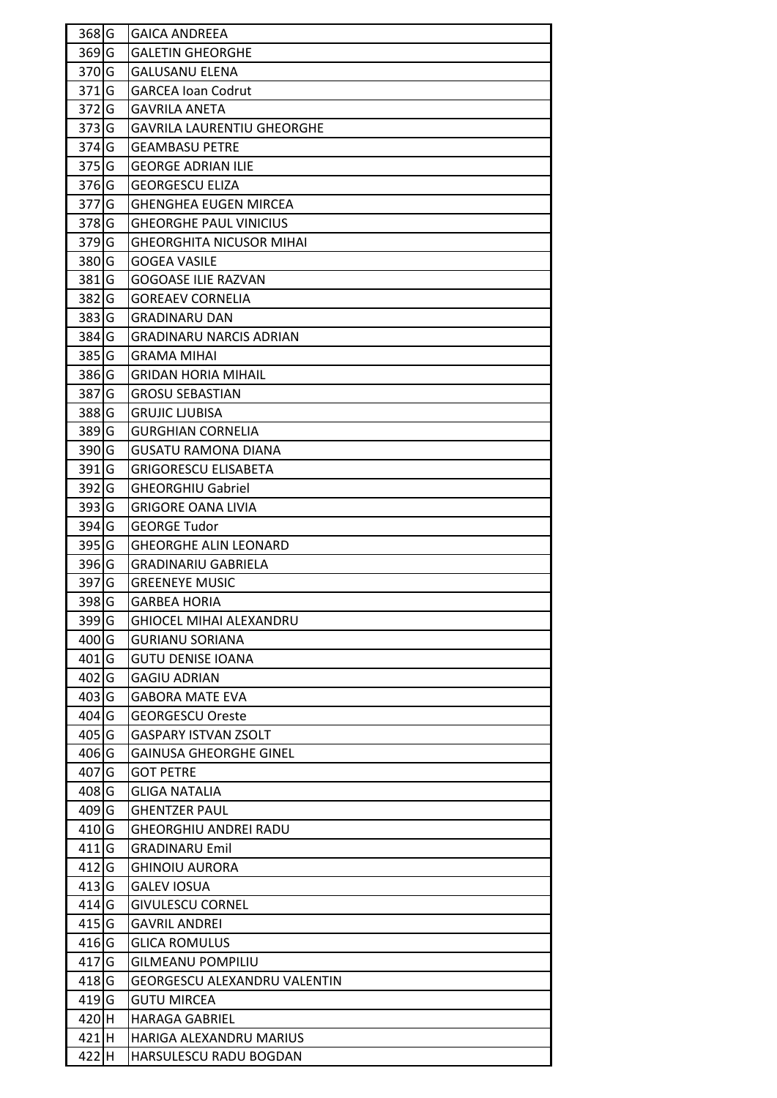| 368 G              | <b>GAICA ANDREEA</b>                |
|--------------------|-------------------------------------|
| $369$ G            | <b>GALETIN GHEORGHE</b>             |
| 370 G              | <b>GALUSANU ELENA</b>               |
| $371$ G            | <b>GARCEA Ioan Codrut</b>           |
| $372$ G            | <b>GAVRILA ANETA</b>                |
| 373 G              | <b>GAVRILA LAURENTIU GHEORGHE</b>   |
| 374 <sub>G</sub>   | <b>GEAMBASU PETRE</b>               |
| 375 G              | <b>GEORGE ADRIAN ILIE</b>           |
| 376 G              | <b>GEORGESCU ELIZA</b>              |
| $377$ G            | <b>GHENGHEA EUGEN MIRCEA</b>        |
| 378 G              | <b>GHEORGHE PAUL VINICIUS</b>       |
| $379$ G            | <b>GHEORGHITA NICUSOR MIHAI</b>     |
| 380 G              | <b>GOGEA VASILE</b>                 |
| 381 <sub>G</sub>   | <b>GOGOASE ILIE RAZVAN</b>          |
| 382 G              | <b>GOREAEV CORNELIA</b>             |
| 383 G              | GRADINARU DAN                       |
| 384 G              | <b>GRADINARU NARCIS ADRIAN</b>      |
| 385 G              | <b>GRAMA MIHAI</b>                  |
| $386$ <sup>G</sup> | <b>GRIDAN HORIA MIHAIL</b>          |
| 387 G              | <b>GROSU SEBASTIAN</b>              |
| 388 G              | <b>GRUJIC LJUBISA</b>               |
| 389 G              | <b>GURGHIAN CORNELIA</b>            |
| 390 G              | GUSATU RAMONA DIANA                 |
| $391$ G            | <b>GRIGORESCU ELISABETA</b>         |
| 392 G              | <b>GHEORGHIU Gabriel</b>            |
| 393 G              | <b>GRIGORE OANA LIVIA</b>           |
| $394$ G            | <b>GEORGE Tudor</b>                 |
| $395$ G            | <b>GHEORGHE ALIN LEONARD</b>        |
| 396 G              | <b>GRADINARIU GABRIELA</b>          |
| 397 G              | <b>GREENEYE MUSIC</b>               |
| 398 G              | <b>GARBEA HORIA</b>                 |
| 399 G              | GHIOCEL MIHAI ALEXANDRU             |
| 400 G              | <b>GURIANU SORIANA</b>              |
| $401$ G            | <b>GUTU DENISE IOANA</b>            |
| $402$ G            | <b>GAGIU ADRIAN</b>                 |
| 403 G              | <b>GABORA MATE EVA</b>              |
| $404$ G            | <b>GEORGESCU Oreste</b>             |
| $405$ G            | <b>GASPARY ISTVAN ZSOLT</b>         |
| 406 G              | <b>GAINUSA GHEORGHE GINEL</b>       |
| $407$ G            | <b>GOT PETRE</b>                    |
| 408 G              | <b>GLIGA NATALIA</b>                |
| $409$ <sup>G</sup> | <b>GHENTZER PAUL</b>                |
| 410 G              | <b>GHEORGHIU ANDREI RADU</b>        |
| $411$ G            | <b>GRADINARU Emil</b>               |
| $412$ G            | <b>GHINOIU AURORA</b>               |
| 413 G              | <b>GALEV IOSUA</b>                  |
| $414$ G            | <b>GIVULESCU CORNEL</b>             |
| $415$ G            | <b>GAVRIL ANDREI</b>                |
| $416$ G            | <b>GLICA ROMULUS</b>                |
| $417$ G            | <b>GILMEANU POMPILIU</b>            |
| $418$ G            | <b>GEORGESCU ALEXANDRU VALENTIN</b> |
| $419$ G            | <b>GUTU MIRCEA</b>                  |
| 420H               | <b>HARAGA GABRIEL</b>               |
| $421$ H            | HARIGA ALEXANDRU MARIUS             |
| 422 H              | HARSULESCU RADU BOGDAN              |
|                    |                                     |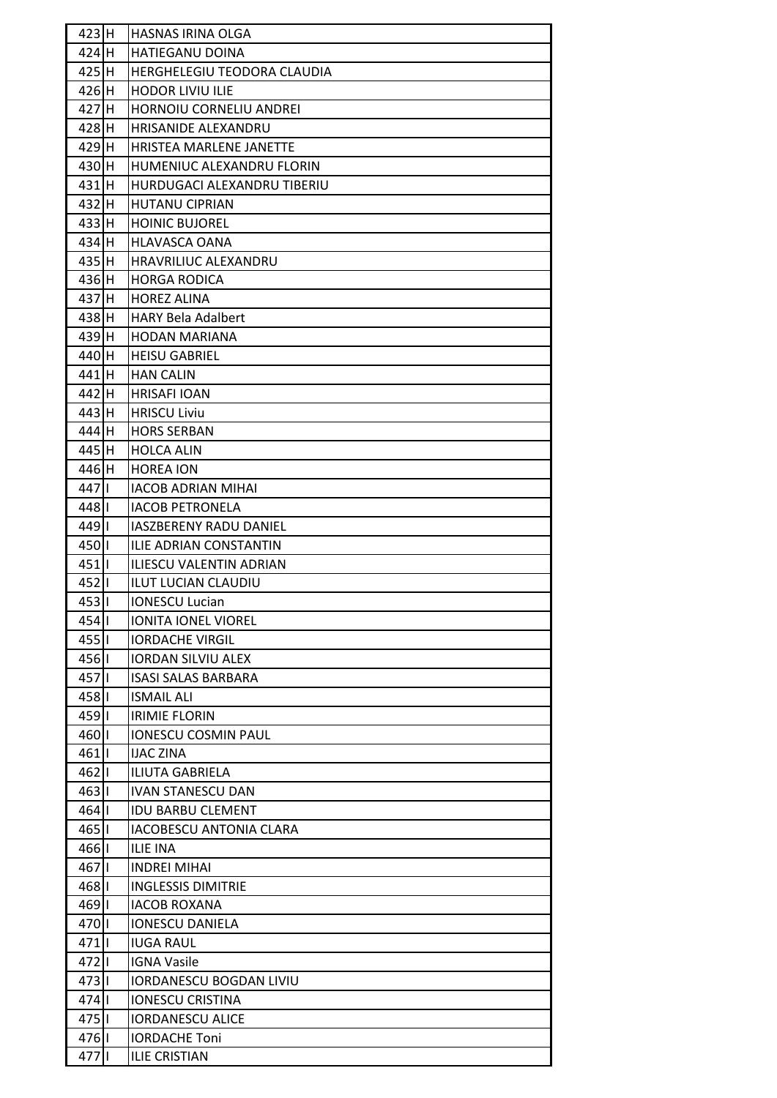| 423H             | <b>HASNAS IRINA OLGA</b>       |
|------------------|--------------------------------|
| $424$ H          | <b>HATIEGANU DOINA</b>         |
| 425H             | HERGHELEGIU TEODORA CLAUDIA    |
| 426 H            | HODOR LIVIU ILIE               |
| 427H             | HORNOIU CORNELIU ANDREI        |
| $428$ H          | <b>HRISANIDE ALEXANDRU</b>     |
| $429$ H          | HRISTEA MARLENE JANETTE        |
| $430$ H          | HUMENIUC ALEXANDRU FLORIN      |
| $431$ H          | HURDUGACI ALEXANDRU TIBERIU    |
| $432$ H          | <b>HUTANU CIPRIAN</b>          |
| 433H             | <b>HOINIC BUJOREL</b>          |
| 434 H            | <b>HLAVASCA OANA</b>           |
| 435H             | <b>HRAVRILIUC ALEXANDRU</b>    |
| $436$ H          | <b>HORGA RODICA</b>            |
| 437H             | <b>HOREZ ALINA</b>             |
| $438$ H          | <b>HARY Bela Adalbert</b>      |
| 439H             | <b>HODAN MARIANA</b>           |
| 440H             | <b>HEISU GABRIEL</b>           |
| 441 <sub>H</sub> | <b>HAN CALIN</b>               |
| $442$ H          | <b>HRISAFI IOAN</b>            |
| 443 H            | <b>HRISCU Liviu</b>            |
| 444 H            | <b>HORS SERBAN</b>             |
| 445 H            | <b>HOLCA ALIN</b>              |
| 446 H            | <b>HOREA ION</b>               |
| $447$            | <b>IACOB ADRIAN MIHAI</b>      |
| 4481             | <b>IACOB PETRONELA</b>         |
| $449$            | <b>IASZBERENY RADU DANIEL</b>  |
| 450              | ILIE ADRIAN CONSTANTIN         |
| $451$            | ILIESCU VALENTIN ADRIAN        |
| 4521             | <b>ILUT LUCIAN CLAUDIU</b>     |
| $453$            | <b>IONESCU Lucian</b>          |
| $454$            | <b>IONITA IONEL VIOREL</b>     |
| $455$            | <b>IORDACHE VIRGIL</b>         |
| 456              | <b>IORDAN SILVIU ALEX</b>      |
| 4571             | <b>ISASI SALAS BARBARA</b>     |
| 458              | <b>ISMAIL ALI</b>              |
| $459$            | <b>IRIMIE FLORIN</b>           |
| 460              | <b>IONESCU COSMIN PAUL</b>     |
| $461$            | <b>IJAC ZINA</b>               |
| 4621             | <b>ILIUTA GABRIELA</b>         |
| $463$            | <b>IVAN STANESCU DAN</b>       |
| $464$            | <b>IDU BARBU CLEMENT</b>       |
| $465$            | <b>IACOBESCU ANTONIA CLARA</b> |
| 466              | <b>ILIE INA</b>                |
| 4671             | <b>INDREI MIHAI</b>            |
| $468$            | <b>INGLESSIS DIMITRIE</b>      |
| 4691             | <b>IACOB ROXANA</b>            |
| 4701             | <b>IONESCU DANIELA</b>         |
| $471$            | <b>IUGA RAUL</b>               |
| 4721             | <b>IGNA Vasile</b>             |
| $473$            | <b>IORDANESCU BOGDAN LIVIU</b> |
| $474$            | <b>IONESCU CRISTINA</b>        |
| $475$            | <b>IORDANESCU ALICE</b>        |
| 476              | <b>IORDACHE Toni</b>           |
| $477$            | <b>ILIE CRISTIAN</b>           |
|                  |                                |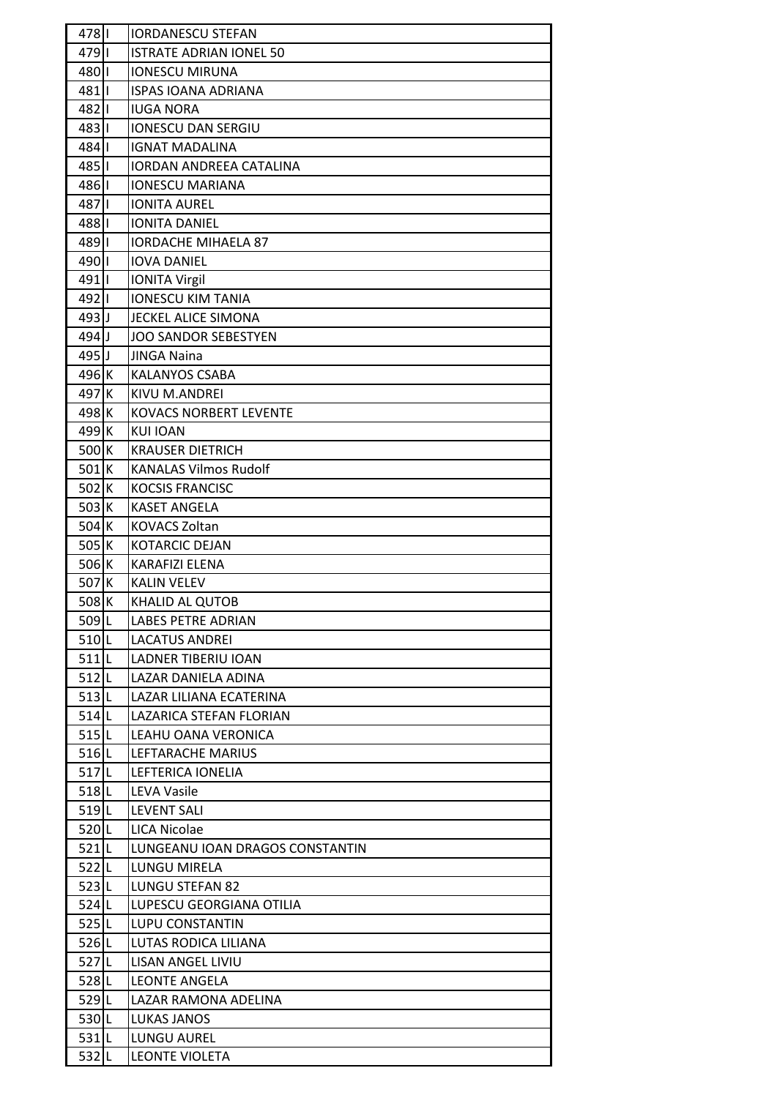| 478                | <b>IORDANESCU STEFAN</b>        |
|--------------------|---------------------------------|
| 4791               | <b>ISTRATE ADRIAN IONEL 50</b>  |
| 480                | <b>IONESCU MIRUNA</b>           |
| 481 <b>II</b>      | <b>ISPAS IOANA ADRIANA</b>      |
| 4821               | <b>IUGA NORA</b>                |
| $483$              | <b>IONESCU DAN SERGIU</b>       |
| 4841               | <b>IGNAT MADALINA</b>           |
| 485   1            | <b>IORDAN ANDREEA CATALINA</b>  |
| 486 <b>II</b>      | <b>IONESCU MARIANA</b>          |
| 487                | <b>IONITA AUREL</b>             |
| 488                | <b>IONITA DANIEL</b>            |
| 4891               | <b>IORDACHE MIHAELA 87</b>      |
| 490                | <b>IOVA DANIEL</b>              |
| 491                | <b>IONITA Virgil</b>            |
| 492   1            | <b>IONESCU KIM TANIA</b>        |
| $493$ J            | JECKEL ALICE SIMONA             |
| $494$ J            | <b>JOO SANDOR SEBESTYEN</b>     |
| $495$ J            | JINGA Naina                     |
| 496 K              |                                 |
|                    | <b>KALANYOS CSABA</b>           |
| 497 K              | KIVU M.ANDREI                   |
| 498 K              | <b>KOVACS NORBERT LEVENTE</b>   |
| $499$ <sup>K</sup> | <b>KUI IOAN</b>                 |
| 500K               | <b>KRAUSER DIETRICH</b>         |
| 501K               | <b>KANALAS Vilmos Rudolf</b>    |
| $502$ <sup>K</sup> | <b>KOCSIS FRANCISC</b>          |
| 503K               | <b>KASET ANGELA</b>             |
| $504$ <sup>K</sup> | <b>KOVACS Zoltan</b>            |
| $505$ <sup>K</sup> | <b>KOTARCIC DEJAN</b>           |
| $506$ <sup>K</sup> | KARAFIZI ELENA                  |
| 507 K              | <b>KALIN VELEV</b>              |
| 508 K              | KHALID AL QUTOB                 |
| $509$ <sup>L</sup> | <b>LABES PETRE ADRIAN</b>       |
| $510$ <sup>L</sup> | <b>LACATUS ANDREI</b>           |
| $511$  L           | LADNER TIBERIU IOAN             |
| $512$ L            | LAZAR DANIELA ADINA             |
| $513$ L            | LAZAR LILIANA ECATERINA         |
| $514$  L           | LAZARICA STEFAN FLORIAN         |
| $515$  L           | LEAHU OANA VERONICA             |
| $516$  L           | LEFTARACHE MARIUS               |
| $517$  L           | LEFTERICA IONELIA               |
| $518$ L            | LEVA Vasile                     |
| $519$ <sup>L</sup> | <b>LEVENT SALI</b>              |
| $520$  L           | LICA Nicolae                    |
| $521$  L           | LUNGEANU IOAN DRAGOS CONSTANTIN |
| $522$  L           | LUNGU MIRELA                    |
| $523$  L           | LUNGU STEFAN 82                 |
| $524$  L           | LUPESCU GEORGIANA OTILIA        |
| $525$  L           | LUPU CONSTANTIN                 |
| $526$  L           | LUTAS RODICA LILIANA            |
| 527L               | LISAN ANGEL LIVIU               |
| $528$ L            | <b>LEONTE ANGELA</b>            |
| $529$  L           | LAZAR RAMONA ADELINA            |
| 530L               | <b>LUKAS JANOS</b>              |
| 531L               | LUNGU AUREL                     |
| 532L               | <b>LEONTE VIOLETA</b>           |
|                    |                                 |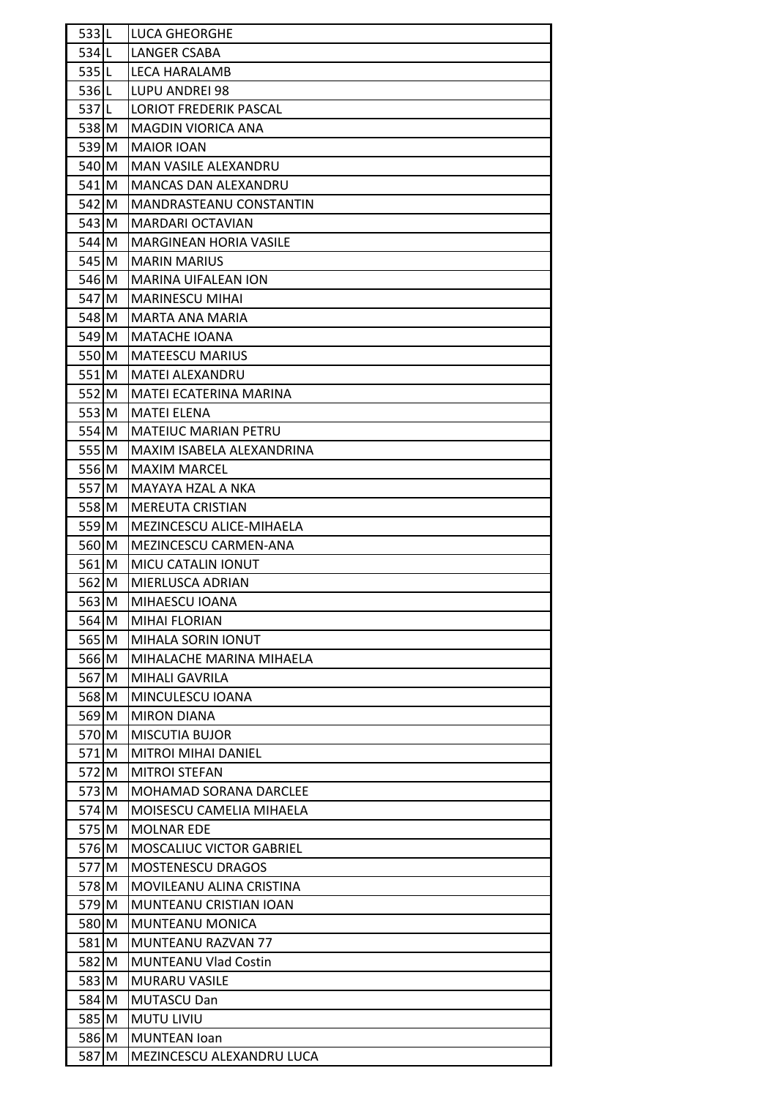| 533L     | <b>LUCA GHEORGHE</b>            |
|----------|---------------------------------|
| $534$ L  | LANGER CSABA                    |
| 535L     | LECA HARALAMB                   |
| $536$  L | LUPU ANDREI 98                  |
| 537L     | <b>LORIOT FREDERIK PASCAL</b>   |
| 538 M    | MAGDIN VIORICA ANA              |
| 539 M    | <b>MAIOR IOAN</b>               |
| 540 M    | MAN VASILE ALEXANDRU            |
| $541$ M  | <b>MANCAS DAN ALEXANDRU</b>     |
| 542 M    | <b>MANDRASTEANU CONSTANTIN</b>  |
| $543$ M  | MARDARI OCTAVIAN                |
| $544$ M  | <b>MARGINEAN HORIA VASILE</b>   |
| $545$ M  | <b>MARIN MARIUS</b>             |
| 546 M    | <b>MARINA UIFALEAN ION</b>      |
| $547$ M  | <b>MARINESCU MIHAI</b>          |
| 548 M    | MARTA ANA MARIA                 |
| 549 M    | <b>MATACHE IOANA</b>            |
| 550 M    | <b>MATEESCU MARIUS</b>          |
| $551$ M  | <b>MATEI ALEXANDRU</b>          |
| $552$ M  | <b>MATEI ECATERINA MARINA</b>   |
| $553$ M  | <b>MATEI ELENA</b>              |
| 554 M    | <b>MATEIUC MARIAN PETRU</b>     |
| 555 M    | MAXIM ISABELA ALEXANDRINA       |
| 556 M    | <b>MAXIM MARCEL</b>             |
| 557 M    | MAYAYA HZAL A NKA               |
| 558 M    | <b>MEREUTA CRISTIAN</b>         |
| $559$ M  | MEZINCESCU ALICE-MIHAELA        |
| 560 M    | MEZINCESCU CARMEN-ANA           |
| $561$ M  | <b>MICU CATALIN IONUT</b>       |
| 562 M    | MIERLUSCA ADRIAN                |
| 563 M    | MIHAESCU IOANA                  |
| 564 M    | <b>MIHAI FLORIAN</b>            |
| 565 M    | MIHALA SORIN IONUT              |
| 566 M    | MIHALACHE MARINA MIHAELA        |
| 567 M    | <b>MIHALI GAVRILA</b>           |
| 568 M    | MINCULESCU IOANA                |
| 569 M    | <b>MIRON DIANA</b>              |
| 570 M    | <b>MISCUTIA BUJOR</b>           |
| 571 M    | <b>MITROI MIHAI DANIEL</b>      |
| 572 M    | <b>MITROI STEFAN</b>            |
| $573$ M  | MOHAMAD SORANA DARCLEE          |
| 574 M    | <b>MOISESCU CAMELIA MIHAELA</b> |
| 575 M    | <b>MOLNAR EDE</b>               |
| 576 M    | <b>MOSCALIUC VICTOR GABRIEL</b> |
| 577 M    | <b>MOSTENESCU DRAGOS</b>        |
| 578 M    | MOVILEANU ALINA CRISTINA        |
| 579 M    | MUNTEANU CRISTIAN IOAN          |
| 580 M    | MUNTEANU MONICA                 |
| 581 M    | MUNTEANU RAZVAN 77              |
| 582 M    | <b>MUNTEANU Vlad Costin</b>     |
| 583 M    | <b>MURARU VASILE</b>            |
| 584 M    | <b>MUTASCU Dan</b>              |
| 585 M    | <b>MUTU LIVIU</b>               |
| 586 M    | <b>MUNTEAN loan</b>             |
| 587 M    | MEZINCESCU ALEXANDRU LUCA       |
|          |                                 |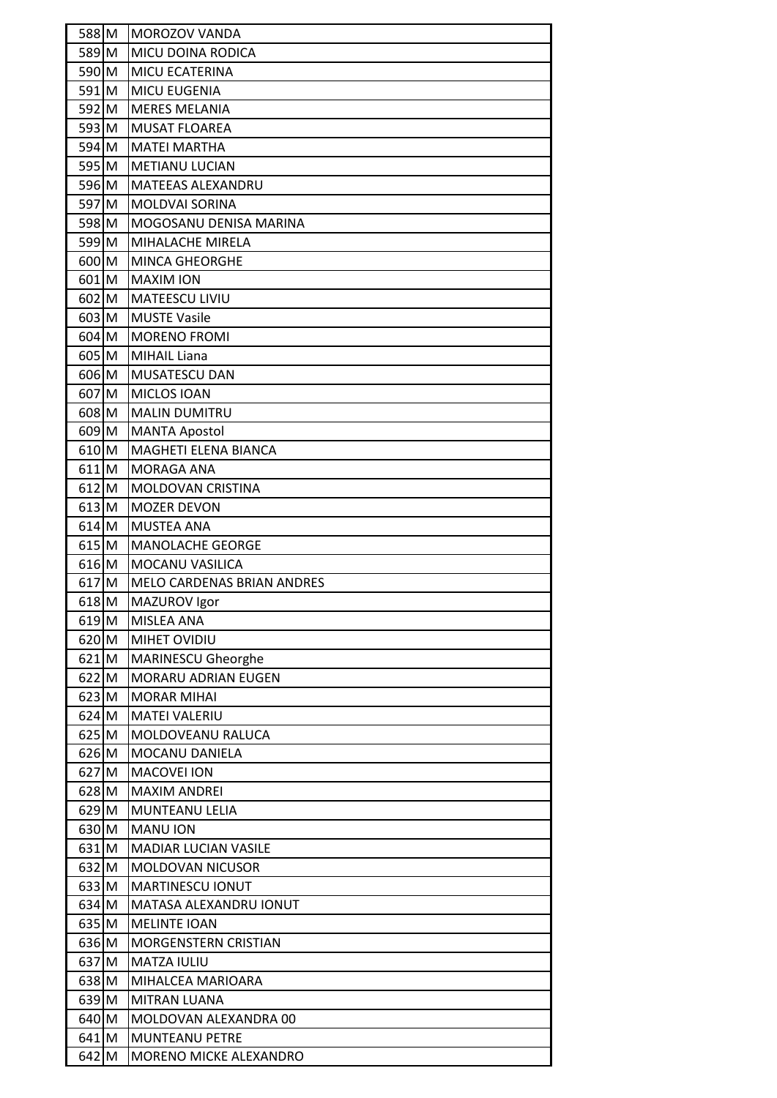| 588 M              | MOROZOV VANDA                                     |
|--------------------|---------------------------------------------------|
| 589 M              | MICU DOINA RODICA                                 |
| 590 M              | MICU ECATERINA                                    |
| $591$ M            | MICU EUGENIA                                      |
| 592 M              | <b>MERES MELANIA</b>                              |
| $593$ M            | <b>MUSAT FLOAREA</b>                              |
| 594 M              | <b>MATEI MARTHA</b>                               |
| 595 M              | <b>METIANU LUCIAN</b>                             |
| 596 M              | <b>MATEEAS ALEXANDRU</b>                          |
| 597 M              | <b>MOLDVAI SORINA</b>                             |
| 598 M              | MOGOSANU DENISA MARINA                            |
| 599 M              | MIHALACHE MIRELA                                  |
| 600 M              | <b>MINCA GHEORGHE</b>                             |
| 601 M              | <b>MAXIM ION</b>                                  |
| $602$ M            | <b>MATEESCU LIVIU</b>                             |
| $603$ M            | <b>MUSTE Vasile</b>                               |
| $604$ M            | <b>MORENO FROMI</b>                               |
| 605 M              | <b>MIHAIL Liana</b>                               |
| 606 M              | MUSATESCU DAN                                     |
| 607 M              | MICLOS IOAN                                       |
| $608$ M            | <b>MALIN DUMITRU</b>                              |
| $609$ M            | <b>MANTA Apostol</b>                              |
| 610 M              | MAGHETI ELENA BIANCA                              |
| $611$ M            | <b>MORAGA ANA</b>                                 |
| $612$ M            | <b>MOLDOVAN CRISTINA</b>                          |
| $613$ M            | <b>MOZER DEVON</b>                                |
| $614$ M            | <b>MUSTEA ANA</b>                                 |
| $615$ M            | <b>MANOLACHE GEORGE</b>                           |
| $616$ M            | MOCANU VASILICA                                   |
| $617$ M            | <b>MELO CARDENAS BRIAN ANDRES</b>                 |
| 618 M              | MAZUROV Igor                                      |
| $619$ M            | <b>MISLEA ANA</b>                                 |
| $620$ M            | MIHET OVIDIU                                      |
| $621$ M            | MARINESCU Gheorghe                                |
| $622$ M            | MORARU ADRIAN EUGEN                               |
| $623$ M            | <b>MORAR MIHAI</b>                                |
| $624$ M            | <b>MATEI VALERIU</b>                              |
| $625$ M            | MOLDOVEANU RALUCA                                 |
| $626$ M            | MOCANU DANIELA                                    |
| $627$ M            | MACOVEI ION                                       |
| $628$ M            | <b>MAXIM ANDREI</b>                               |
| $629$ M            | MUNTEANU LELIA                                    |
| 630M               | <b>MANU ION</b>                                   |
| 631 M              | MADIAR LUCIAN VASILE                              |
| $632$ M<br>$633$ M | <b>MOLDOVAN NICUSOR</b>                           |
|                    | <b>MARTINESCU IONUT</b>                           |
| $634$ M            | MATASA ALEXANDRU IONUT<br><b>MELINTE IOAN</b>     |
| $635$ M<br>$636$ M |                                                   |
| 637 M              | <b>MORGENSTERN CRISTIAN</b><br><b>MATZA IULIU</b> |
| $638$ M            | MIHALCEA MARIOARA                                 |
| $639$ M            | <b>MITRAN LUANA</b>                               |
| 640 M              | MOLDOVAN ALEXANDRA 00                             |
| $641$ M            | <b>MUNTEANU PETRE</b>                             |
| $642$ M            | MORENO MICKE ALEXANDRO                            |
|                    |                                                   |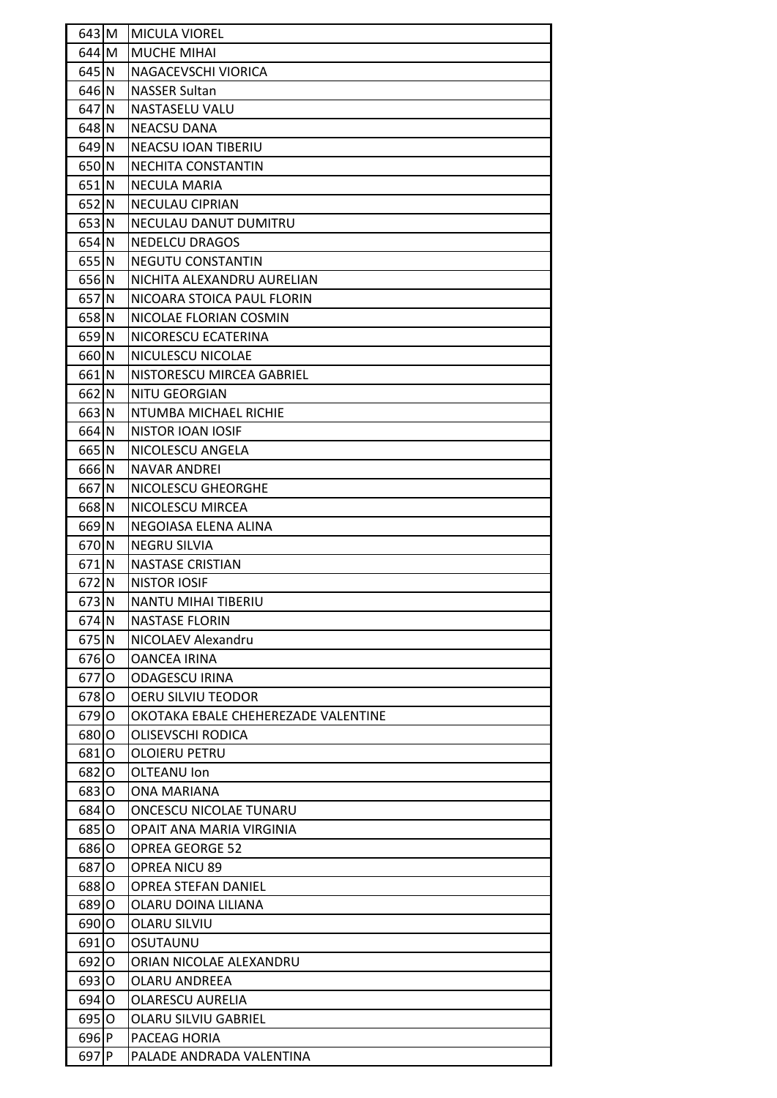| $643$ M            | MICULA VIOREL                       |
|--------------------|-------------------------------------|
| $644$ M            | <b>MUCHE MIHAI</b>                  |
| 645 N              | NAGACEVSCHI VIORICA                 |
| 646 N              | <b>NASSER Sultan</b>                |
| $647$ N            | NASTASELU VALU                      |
| 648 N              | <b>NEACSU DANA</b>                  |
| $649$ N            | NEACSU IOAN TIBERIU                 |
| 650 N              | NECHITA CONSTANTIN                  |
| $651$ <sup>N</sup> | NECULA MARIA                        |
| $652$ N            | NECULAU CIPRIAN                     |
| $653$ N            | NECULAU DANUT DUMITRU               |
| $654$ N            | <b>NEDELCU DRAGOS</b>               |
| $655$ <sup>N</sup> | NEGUTU CONSTANTIN                   |
| 656 N              | NICHITA ALEXANDRU AURELIAN          |
| 657 N              | NICOARA STOICA PAUL FLORIN          |
| 658 N              | NICOLAE FLORIAN COSMIN              |
| 659 N              | NICORESCU ECATERINA                 |
| 660 N              | NICULESCU NICOLAE                   |
| 661 N              | NISTORESCU MIRCEA GABRIEL           |
| 662 N              | <b>NITU GEORGIAN</b>                |
| 663 N              | NTUMBA MICHAEL RICHIE               |
| 664 N              | NISTOR IOAN IOSIF                   |
| 665 N              | NICOLESCU ANGELA                    |
| 666 N              | <b>NAVAR ANDREI</b>                 |
| 667 N              | NICOLESCU GHEORGHE                  |
| 668 N              | NICOLESCU MIRCEA                    |
| 669 N              | NEGOIASA ELENA ALINA                |
| 670 N              | <b>NEGRU SILVIA</b>                 |
| $671$ N            | <b>NASTASE CRISTIAN</b>             |
| 672 N              | <b>NISTOR IOSIF</b>                 |
| $673$ N            | NANTU MIHAI TIBERIU                 |
| 674 N              | <b>NASTASE FLORIN</b>               |
| $675$ <sup>N</sup> | NICOLAEV Alexandru                  |
| 676 O              | <b>OANCEA IRINA</b>                 |
| 6770               | <b>ODAGESCU IRINA</b>               |
| 678 0              | OERU SILVIU TEODOR                  |
| 679 O              | OKOTAKA EBALE CHEHEREZADE VALENTINE |
| 680 O              | OLISEVSCHI RODICA                   |
| 681   0            | <b>OLOIERU PETRU</b>                |
| 6820               | OLTEANU Ion                         |
| 683 O              | ONA MARIANA                         |
| 684 0              | ONCESCU NICOLAE TUNARU              |
| 685 O              | OPAIT ANA MARIA VIRGINIA            |
| 686 0              | <b>OPREA GEORGE 52</b>              |
| 6870               | OPREA NICU 89                       |
| 6880               | <b>OPREA STEFAN DANIEL</b>          |
| 689 O              | OLARU DOINA LILIANA                 |
| 690 O              | OLARU SILVIU                        |
| 691 0              | OSUTAUNU                            |
| $692$ O            | ORIAN NICOLAE ALEXANDRU             |
| 693 0              | OLARU ANDREEA                       |
| 694 O              | <b>OLARESCU AURELIA</b>             |
| 695 O              | <b>OLARU SILVIU GABRIEL</b>         |
| 696 P              | PACEAG HORIA                        |
| 697 P              | PALADE ANDRADA VALENTINA            |
|                    |                                     |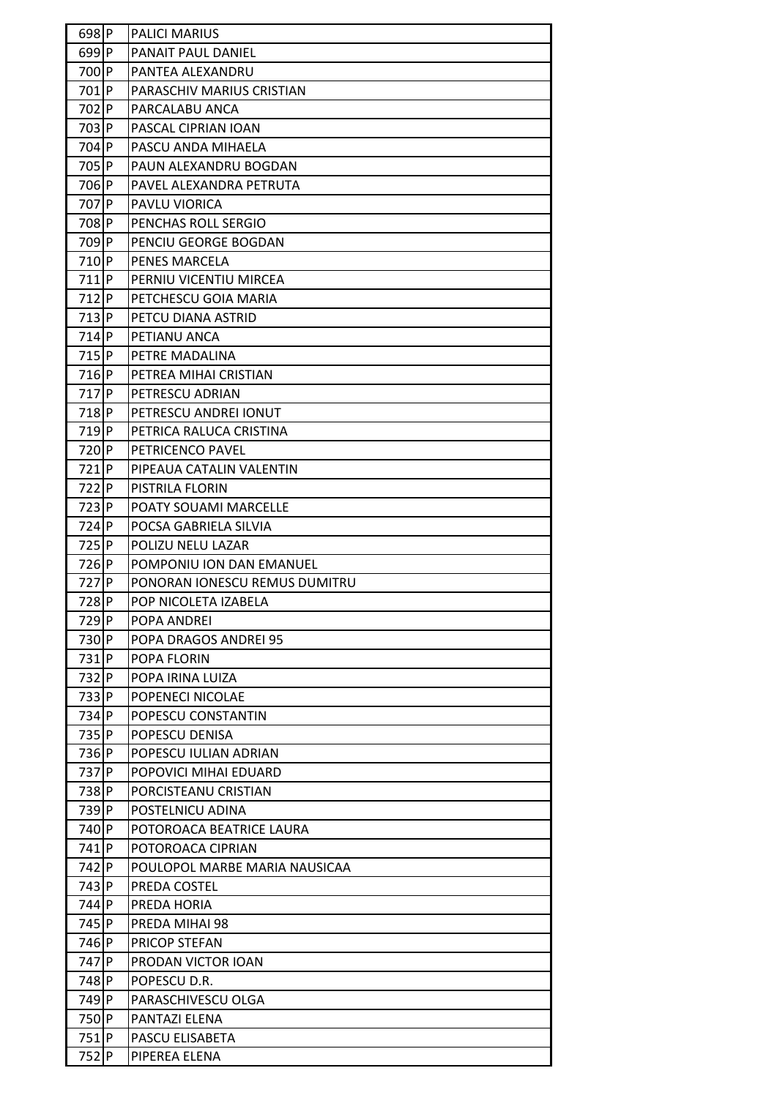| $698$ P          | <b>PALICI MARIUS</b>          |
|------------------|-------------------------------|
| $699$ P          | <b>PANAIT PAUL DANIEL</b>     |
| 700P             | PANTEA ALEXANDRU              |
| 701P             | PARASCHIV MARIUS CRISTIAN     |
| 702 P            | PARCALABU ANCA                |
| 703 P            | PASCAL CIPRIAN IOAN           |
| 704 P            | PASCU ANDA MIHAELA            |
| 705 P            | PAUN ALEXANDRU BOGDAN         |
| 706 P            | PAVEL ALEXANDRA PETRUTA       |
| 707 P            | PAVLU VIORICA                 |
| 708 P            | PENCHAS ROLL SERGIO           |
| 709 P            | PENCIU GEORGE BOGDAN          |
| 710P             | PENES MARCELA                 |
| $711$ $P$        | PERNIU VICENTIU MIRCEA        |
| $712$ P          | PETCHESCU GOIA MARIA          |
| 713P             | PETCU DIANA ASTRID            |
| $714$ P          | PETIANU ANCA                  |
| $715$ $P$        | PETRE MADALINA                |
| 716P             | PETREA MIHAI CRISTIAN         |
| $717$ $P$        | <b>PETRESCU ADRIAN</b>        |
| 718P             | PETRESCU ANDREI IONUT         |
| $719$ P          | PETRICA RALUCA CRISTINA       |
| 720P             | PETRICENCO PAVEL              |
| $721$ $P$        | PIPEAUA CATALIN VALENTIN      |
| 722P             | PISTRILA FLORIN               |
| $723$ P          | <b>POATY SOUAMI MARCELLE</b>  |
| 724P             | POCSA GABRIELA SILVIA         |
| 725P             | POLIZU NELU LAZAR             |
| 726P             | POMPONIU ION DAN EMANUEL      |
| 727 P            | PONORAN IONESCU REMUS DUMITRU |
| 728P             | POP NICOLETA IZABELA          |
| 729 <sub>P</sub> | POPA ANDREI                   |
| 730P             | POPA DRAGOS ANDREI 95         |
| 731P             | POPA FLORIN                   |
| 732 P            | POPA IRINA LUIZA              |
| 733 P            | POPENECI NICOLAE              |
| 734 P            | POPESCU CONSTANTIN            |
| 735P             | POPESCU DENISA                |
| 736P             | POPESCU IULIAN ADRIAN         |
| 737 P            | POPOVICI MIHAI EDUARD         |
| 738P             | PORCISTEANU CRISTIAN          |
| 739P             | POSTELNICU ADINA              |
| 740 P            | POTOROACA BEATRICE LAURA      |
| 741 P            | POTOROACA CIPRIAN             |
| 742 P            | POULOPOL MARBE MARIA NAUSICAA |
| 743 P            | PREDA COSTEL                  |
| 744 P            | PREDA HORIA                   |
| 745 P            | PREDA MIHAI 98                |
| 746 P            | PRICOP STEFAN                 |
| 747 P            | PRODAN VICTOR IOAN            |
| 748 P            | POPESCU D.R.                  |
| 749 P            | PARASCHIVESCU OLGA            |
| 750P             | PANTAZI ELENA                 |
| 751P             | PASCU ELISABETA               |
| 752 P            | PIPEREA ELENA                 |
|                  |                               |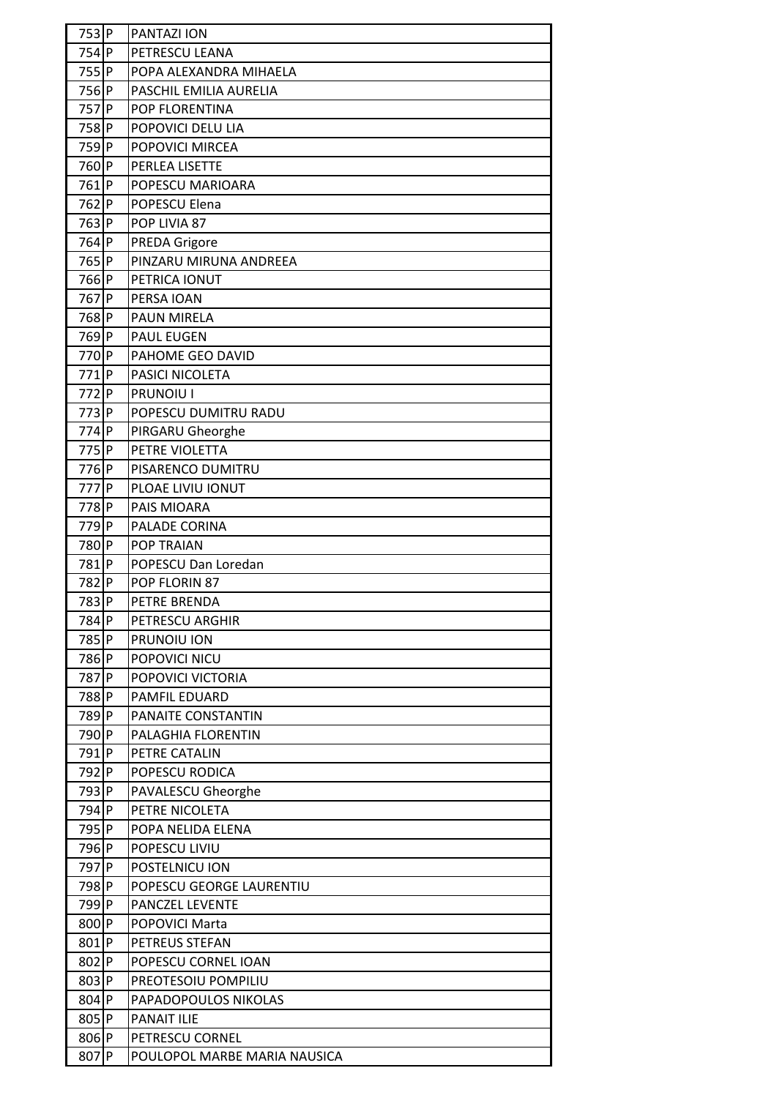| 753P             | <b>PANTAZI ION</b>           |
|------------------|------------------------------|
| 754P             | PETRESCU LEANA               |
| 755P             | POPA ALEXANDRA MIHAELA       |
| 756P             | PASCHIL EMILIA AURELIA       |
| 757 P            | POP FLORENTINA               |
| 758P             | POPOVICI DELU LIA            |
| 759 <sub>P</sub> | POPOVICI MIRCEA              |
| 760P             | PERLEA LISETTE               |
| 761P             | POPESCU MARIOARA             |
| 762 P            | POPESCU Elena                |
| 763 P            | POP LIVIA 87                 |
| 764 P            | <b>PREDA Grigore</b>         |
| 765P             | PINZARU MIRUNA ANDREEA       |
| 766P             | PETRICA IONUT                |
| 767 P            |                              |
|                  | PERSA IOAN                   |
| 768P             | <b>PAUN MIRELA</b>           |
| 769 <sub>P</sub> | <b>PAUL EUGEN</b>            |
| 770P             | PAHOME GEO DAVID             |
| 771P             | PASICI NICOLETA              |
| 772 P            | PRUNOIU I                    |
| 773 P            | POPESCU DUMITRU RADU         |
| 774P             | PIRGARU Gheorghe             |
| 775P             | PETRE VIOLETTA               |
| 776 P            | PISARENCO DUMITRU            |
| 777 P            | PLOAE LIVIU IONUT            |
| 778P             | PAIS MIOARA                  |
| 779P             | PALADE CORINA                |
| 780P             | <b>POP TRAIAN</b>            |
| 781P             | POPESCU Dan Loredan          |
| 782P             | POP FLORIN 87                |
| 783P             | PETRE BRENDA                 |
| 784P             | PETRESCU ARGHIR              |
| 785P             | PRUNOIU ION                  |
| 786P             | POPOVICI NICU                |
| 787 P            | POPOVICI VICTORIA            |
| 788P             | <b>PAMFIL EDUARD</b>         |
| 789P             | PANAITE CONSTANTIN           |
| 790 P            | PALAGHIA FLORENTIN           |
| 791 P            | PETRE CATALIN                |
| 792 P            | POPESCU RODICA               |
| 793 P            | PAVALESCU Gheorghe           |
| 794 P            | PETRE NICOLETA               |
| 795 P            | POPA NELIDA ELENA            |
| 796P             | POPESCU LIVIU                |
| 797 P            | POSTELNICU ION               |
| 798P             | POPESCU GEORGE LAURENTIU     |
| 799 P            | PANCZEL LEVENTE              |
| 800 P            | POPOVICI Marta               |
| 801 P            | PETREUS STEFAN               |
| 802 P            | POPESCU CORNEL IOAN          |
| 803 P            | PREOTESOIU POMPILIU          |
| 804 P            | PAPADOPOULOS NIKOLAS         |
| 805P             | <b>PANAIT ILIE</b>           |
| 806P             | PETRESCU CORNEL              |
| 807 P            | POULOPOL MARBE MARIA NAUSICA |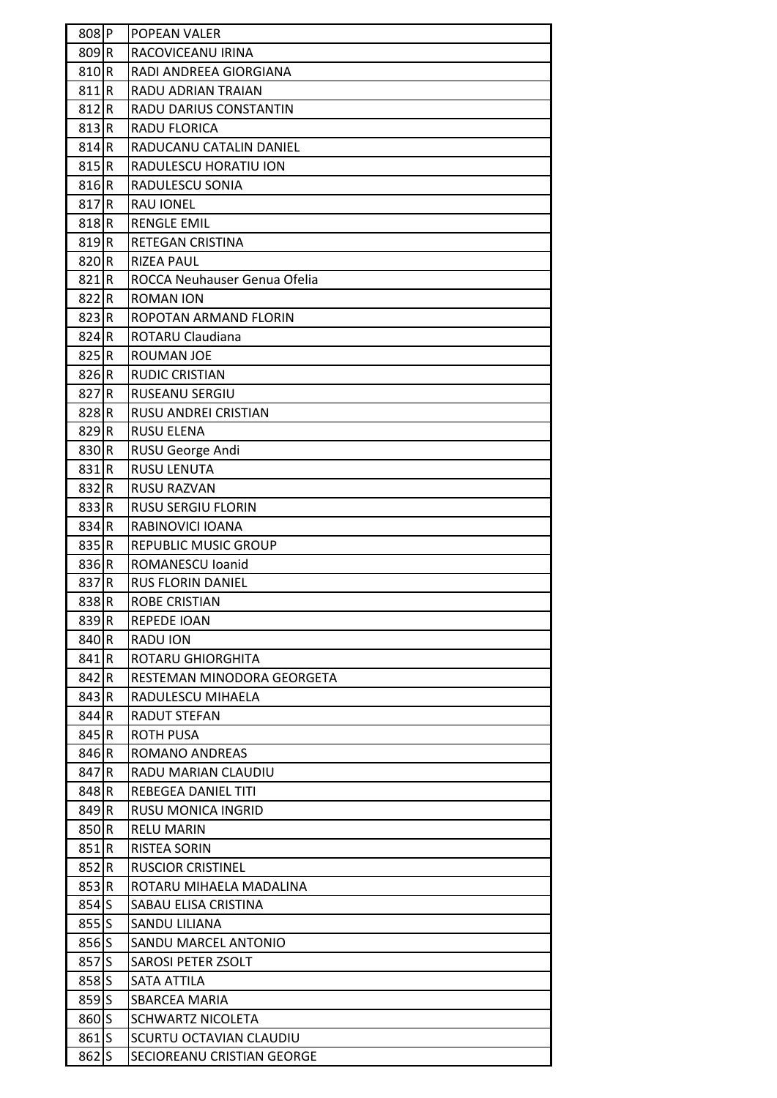| 808P    | POPEAN VALER                 |
|---------|------------------------------|
| 809R    | RACOVICEANU IRINA            |
| 810 R   | RADI ANDREEA GIORGIANA       |
| 811R    | <b>RADU ADRIAN TRAIAN</b>    |
| 812 R   | RADU DARIUS CONSTANTIN       |
| 813 R   | RADU FLORICA                 |
| 814 R   | RADUCANU CATALIN DANIEL      |
| 815 R   | RADULESCU HORATIU ION        |
| 816 R   | RADULESCU SONIA              |
| 817R    | <b>RAU IONEL</b>             |
| 818R    | <b>RENGLE EMIL</b>           |
| 819R    | RETEGAN CRISTINA             |
| 820R    | <b>RIZEA PAUL</b>            |
| 821 R   | ROCCA Neuhauser Genua Ofelia |
| 822R    | <b>ROMAN ION</b>             |
| 823 R   | ROPOTAN ARMAND FLORIN        |
| 824 R   | ROTARU Claudiana             |
| 825 R   | ROUMAN JOE                   |
| 826 R   | <b>RUDIC CRISTIAN</b>        |
| 827R    | RUSEANU SERGIU               |
| 828R    | RUSU ANDREI CRISTIAN         |
| 829 R   | <b>RUSU ELENA</b>            |
| 830R    | RUSU George Andi             |
| 831R    | <b>RUSU LENUTA</b>           |
| 832R    | <b>RUSU RAZVAN</b>           |
| 833R    | <b>RUSU SERGIU FLORIN</b>    |
| 834R    | RABINOVICI IOANA             |
| 835R    | REPUBLIC MUSIC GROUP         |
| 836R    | ROMANESCU Ioanid             |
| 837R    | <b>RUS FLORIN DANIEL</b>     |
| 838R    | <b>ROBE CRISTIAN</b>         |
| 839R    | <b>REPEDE IOAN</b>           |
| 840R    | <b>RADU ION</b>              |
| 841R    | ROTARU GHIORGHITA            |
| 842 R   | RESTEMAN MINODORA GEORGETA   |
| 843 R   | RADULESCU MIHAELA            |
| 844 R   | RADUT STEFAN                 |
| 845 R   | <b>ROTH PUSA</b>             |
| 846R    | ROMANO ANDREAS               |
| 847 R   | RADU MARIAN CLAUDIU          |
| 848R    | REBEGEA DANIEL TITI          |
| 849R    | <b>RUSU MONICA INGRID</b>    |
| 850R    | <b>RELU MARIN</b>            |
| 851 R   | <b>RISTEA SORIN</b>          |
| 852 R   | <b>RUSCIOR CRISTINEL</b>     |
| 853 R   | ROTARU MIHAELA MADALINA      |
| $854$ S | SABAU ELISA CRISTINA         |
| 855S    | SANDU LILIANA                |
| $856$ S | SANDU MARCEL ANTONIO         |
| 857S    | SAROSI PETER ZSOLT           |
| 858S    | SATA ATTILA                  |
| $859$ S | SBARCEA MARIA                |
| 860S    | <b>SCHWARTZ NICOLETA</b>     |
| 861S    | SCURTU OCTAVIAN CLAUDIU      |
|         |                              |
| $862$ S | SECIOREANU CRISTIAN GEORGE   |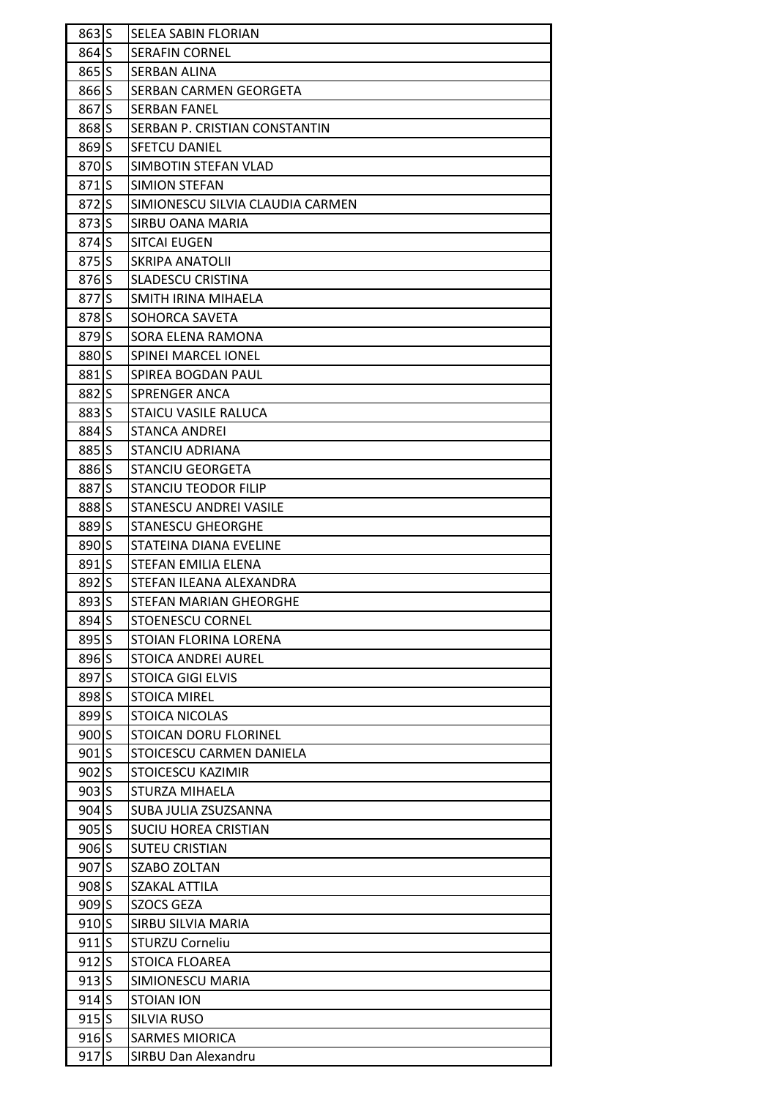| $863$ S           | <b>SELEA SABIN FLORIAN</b>       |
|-------------------|----------------------------------|
| $864$ S           | <b>SERAFIN CORNEL</b>            |
| $865$ S           | <b>SERBAN ALINA</b>              |
| 866S              | <b>SERBAN CARMEN GEORGETA</b>    |
| $867$ S           | ISERBAN FANEL                    |
| 868 S             | SERBAN P. CRISTIAN CONSTANTIN    |
| $869$ S           | <b>SFETCU DANIEL</b>             |
| 870S              | SIMBOTIN STEFAN VLAD             |
| $871$ S           | SIMION STEFAN                    |
| 872S              | SIMIONESCU SILVIA CLAUDIA CARMEN |
| $873$ S           | SIRBU OANA MARIA                 |
| 874 S             | <b>SITCAI EUGEN</b>              |
| $875$ S           | <b>SKRIPA ANATOLII</b>           |
| $876$ S           | <b>SLADESCU CRISTINA</b>         |
| 877 S             | SMITH IRINA MIHAELA              |
| 878 S             | SOHORCA SAVETA                   |
| 879 <sub>S</sub>  | SORA ELENA RAMONA                |
| 880 <sub>IS</sub> | <b>SPINEI MARCEL IONEL</b>       |
| 881S              | SPIREA BOGDAN PAUL               |
| 882 S             | <b>SPRENGER ANCA</b>             |
| 883 S             | <b>STAICU VASILE RALUCA</b>      |
| 884 S             | <b>STANCA ANDREI</b>             |
| 885S              | <b>STANCIU ADRIANA</b>           |
| 886 S             | <b>STANCIU GEORGETA</b>          |
| 887 S             | <b>STANCIU TEODOR FILIP</b>      |
| 888 S             | <b>STANESCU ANDREI VASILE</b>    |
| 889 <sub>S</sub>  | <b>STANESCU GHEORGHE</b>         |
| 890 S             | STATEINA DIANA EVELINE           |
| $891$ S           | STEFAN EMILIA ELENA              |
| 892 S             | STEFAN ILEANA ALEXANDRA          |
| 893 S             | <b>STEFAN MARIAN GHEORGHE</b>    |
| $894$ S           | <b>STOENESCU CORNEL</b>          |
| $895$ S           | <b>STOIAN FLORINA LORENA</b>     |
| 896S              | <b>STOICA ANDREI AUREL</b>       |
| 897 S             | <b>STOICA GIGI ELVIS</b>         |
| 898S              | <b>STOICA MIREL</b>              |
| 899S              | <b>STOICA NICOLAS</b>            |
| $900$ S           | STOICAN DORU FLORINEL            |
| $901$ S           | STOICESCU CARMEN DANIELA         |
| $902$ S           | <b>STOICESCU KAZIMIR</b>         |
| $903$ S           | <b>STURZA MIHAELA</b>            |
| $904$ S           | SUBA JULIA ZSUZSANNA             |
| $905$ S           | <b>SUCIU HOREA CRISTIAN</b>      |
| $906$ S           | <b>SUTEU CRISTIAN</b>            |
| $907$ S           | SZABO ZOLTAN                     |
| $908$ S           | SZAKAL ATTILA                    |
| $909$ S           | <b>SZOCS GEZA</b>                |
| $910$ S           | SIRBU SILVIA MARIA               |
| $911$ S           | <b>STURZU Corneliu</b>           |
| $912$ S           | <b>STOICA FLOAREA</b>            |
| $913$ S           | SIMIONESCU MARIA                 |
| $914$ S           | <b>STOIAN ION</b>                |
| $915$ S           | <b>SILVIA RUSO</b>               |
| $916$ S           | <b>SARMES MIORICA</b>            |
| 917S              | <b>SIRBU Dan Alexandru</b>       |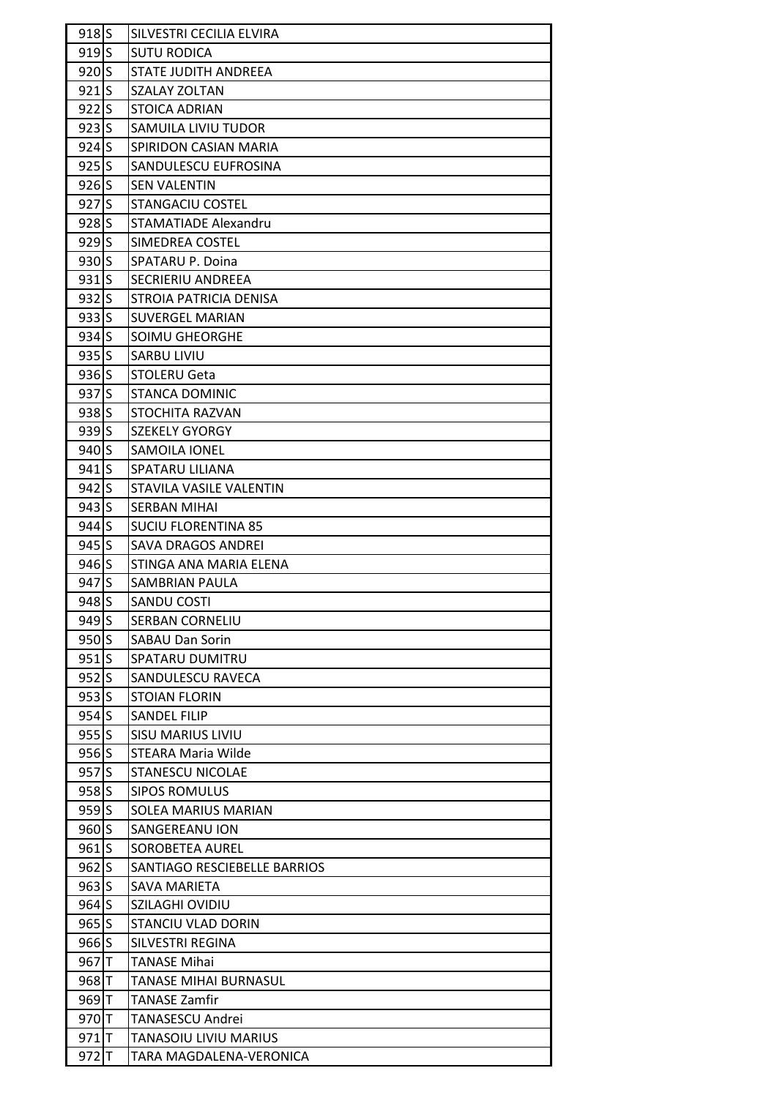| 918S    | SILVESTRI CECILIA ELVIRA     |
|---------|------------------------------|
| $919$ S | <b>SUTU RODICA</b>           |
| $920$ S | <b>STATE JUDITH ANDREEA</b>  |
| 921S    | SZALAY ZOLTAN                |
| $922$ S | <b>STOICA ADRIAN</b>         |
| $923$ S | SAMUILA LIVIU TUDOR          |
| $924$ S | SPIRIDON CASIAN MARIA        |
| $925$ S | SANDULESCU EUFROSINA         |
| $926$ S | <b>SEN VALENTIN</b>          |
| $927$ S | <b>STANGACIU COSTEL</b>      |
| $928$ S | <b>STAMATIADE Alexandru</b>  |
| $929$ S | SIMEDREA COSTEL              |
| $930$ S | SPATARU P. Doina             |
| $931$ S | <b>SECRIERIU ANDREEA</b>     |
| $932$ S | STROIA PATRICIA DENISA       |
| 933S    | <b>SUVERGEL MARIAN</b>       |
| $934$ S | SOIMU GHEORGHE               |
| $935$ S | <b>SARBU LIVIU</b>           |
| $936$ S | <b>STOLERU Geta</b>          |
| 937S    | <b>STANCA DOMINIC</b>        |
| $938$ S | <b>STOCHITA RAZVAN</b>       |
| $939$ S | <b>SZEKELY GYORGY</b>        |
| $940$ S | <b>SAMOILA IONEL</b>         |
| $941$ S | SPATARU LILIANA              |
| $942$ S | STAVILA VASILE VALENTIN      |
| $943$ S | <b>SERBAN MIHAI</b>          |
| $944$ S | <b>SUCIU FLORENTINA 85</b>   |
| $945$ S | <b>SAVA DRAGOS ANDREI</b>    |
| $946$ S | STINGA ANA MARIA ELENA       |
| 947S    | SAMBRIAN PAULA               |
| 948S    | SANDU COSTI                  |
| $949$ S | <b>SERBAN CORNELIU</b>       |
| $950$ S | <b>SABAU Dan Sorin</b>       |
| $951$ S | <b>SPATARU DUMITRU</b>       |
| $952$ S | SANDULESCU RAVECA            |
| $953$ S | <b>STOIAN FLORIN</b>         |
| $954$ S | <b>SANDEL FILIP</b>          |
| 955S    | <b>SISU MARIUS LIVIU</b>     |
| $956$ S | <b>STEARA Maria Wilde</b>    |
| $957$ S | <b>STANESCU NICOLAE</b>      |
| $958$ S | <b>SIPOS ROMULUS</b>         |
| $959$ S | SOLEA MARIUS MARIAN          |
| $960$ S | SANGEREANU ION               |
| $961$ S | <b>SOROBETEA AUREL</b>       |
| $962$ S | SANTIAGO RESCIEBELLE BARRIOS |
| $963$ S | SAVA MARIETA                 |
| $964$ S | SZILAGHI OVIDIU              |
| $965$ S | <b>STANCIU VLAD DORIN</b>    |
| 966S    | SILVESTRI REGINA             |
| 967 T   | <b>TANASE Mihai</b>          |
| 968 T   | <b>TANASE MIHAI BURNASUL</b> |
| 969 T   | <b>TANASE Zamfir</b>         |
| 970T    | <b>TANASESCU Andrei</b>      |
| $971$ T | TANASOIU LIVIU MARIUS        |
| $972$ T | TARA MAGDALENA-VERONICA      |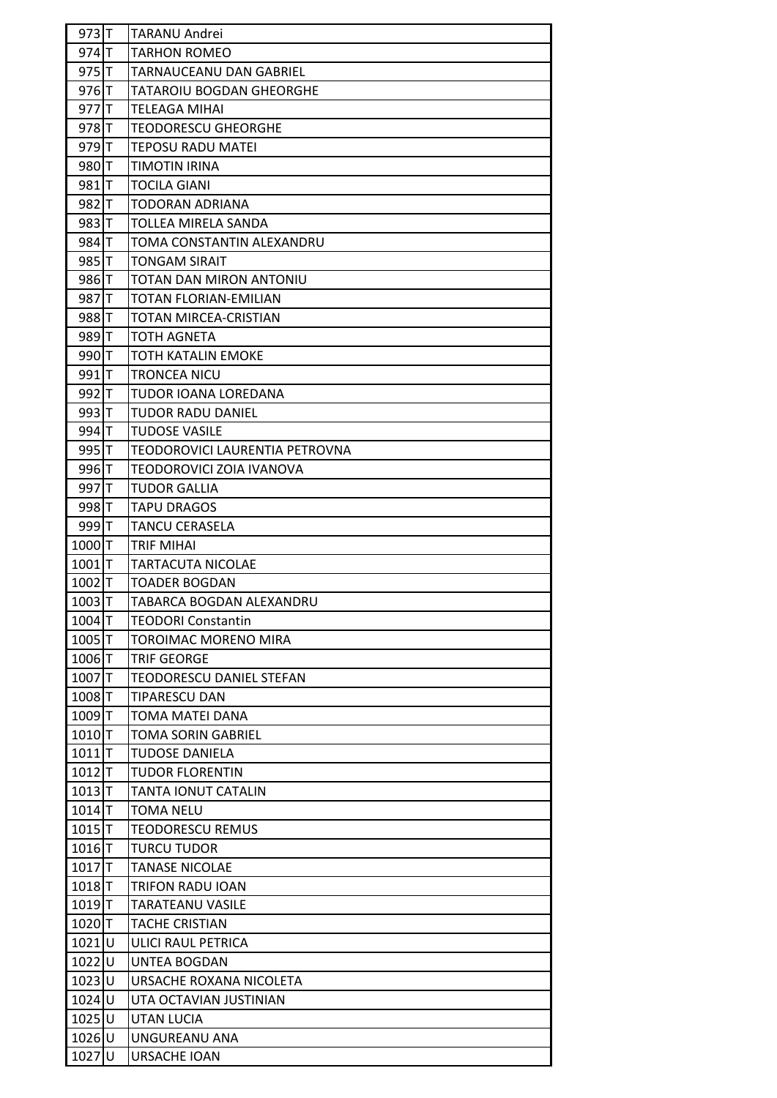| $973$ T             | <b>TARANU Andrei</b>            |
|---------------------|---------------------------------|
| 974 T               | <b>TARHON ROMEO</b>             |
| $975$ T             | TARNAUCEANU DAN GABRIEL         |
| $976$ T             | TATAROIU BOGDAN GHEORGHE        |
| 977 T               | TELEAGA MIHAI                   |
| 978 T               | <b>TEODORESCU GHEORGHE</b>      |
| 979 T               | TEPOSU RADU MATEI               |
| 980T                | TIMOTIN IRINA                   |
| 981 <b>T</b>        | <b>TOCILA GIANI</b>             |
| 982T                | <b>TODORAN ADRIANA</b>          |
| 983 T               | TOLLEA MIRELA SANDA             |
| 984 T               | TOMA CONSTANTIN ALEXANDRU       |
| 985 T               | <b>TONGAM SIRAIT</b>            |
| 986 T               | TOTAN DAN MIRON ANTONIU         |
| 987 T               | <b>TOTAN FLORIAN-EMILIAN</b>    |
| 988 IT              | TOTAN MIRCEA-CRISTIAN           |
| 989 T               | <b>TOTH AGNETA</b>              |
| 990T                | TOTH KATALIN EMOKE              |
| 991 <sub>T</sub>    | <b>TRONCEA NICU</b>             |
| 992T                | TUDOR IOANA LOREDANA            |
| 993 T               | <b>TUDOR RADU DANIEL</b>        |
| 994 T               | <b>TUDOSE VASILE</b>            |
| 995 T               | TEODOROVICI LAURENTIA PETROVNA  |
| 996 T               | TEODOROVICI ZOIA IVANOVA        |
| 997T                | TUDOR GALLIA                    |
| 998 <sub>T</sub>    | <b>TAPU DRAGOS</b>              |
| 999 T               | <b>TANCU CERASELA</b>           |
| $1000$ <sup>T</sup> | TRIF MIHAI                      |
| $1001$ <sup>T</sup> | <b>TARTACUTA NICOLAE</b>        |
| $1002$ <sub>T</sub> | <b>TOADER BOGDAN</b>            |
| $1003$ T            | TABARCA BOGDAN ALEXANDRU        |
| 1004T               | <b>TEODORI Constantin</b>       |
| $1005$ <sup>T</sup> | TOROIMAC MORENO MIRA            |
| $1006$ <sub>T</sub> | <b>TRIF GEORGE</b>              |
| $1007$ <sup>T</sup> | <b>TEODORESCU DANIEL STEFAN</b> |
| 1008T               | <b>TIPARESCU DAN</b>            |
| 1009T               | TOMA MATEI DANA                 |
| $1010$ <sup>T</sup> | <b>TOMA SORIN GABRIEL</b>       |
| $1011$ <sup>T</sup> | <b>TUDOSE DANIELA</b>           |
| $1012$ T            | <b>TUDOR FLORENTIN</b>          |
| $1013$ T            | <b>TANTA IONUT CATALIN</b>      |
| 1014                | <b>TOMA NELU</b>                |
| $1015$ T            | <b>TEODORESCU REMUS</b>         |
| 1016T               | <b>TURCU TUDOR</b>              |
| $1017$ <sup>T</sup> | <b>TANASE NICOLAE</b>           |
| $1018$ T            | <b>TRIFON RADU IOAN</b>         |
| $1019$ <sup>T</sup> | <b>TARATEANU VASILE</b>         |
| 1020T               | <b>TACHE CRISTIAN</b>           |
| $1021$ U            | ULICI RAUL PETRICA              |
| 1022U               | UNTEA BOGDAN                    |
| 1023 U              | URSACHE ROXANA NICOLETA         |
| 1024U               | UTA OCTAVIAN JUSTINIAN          |
| $1025$ U            | UTAN LUCIA                      |
| 1026U               | UNGUREANU ANA                   |
| $1027$ U            | <b>URSACHE IOAN</b>             |
|                     |                                 |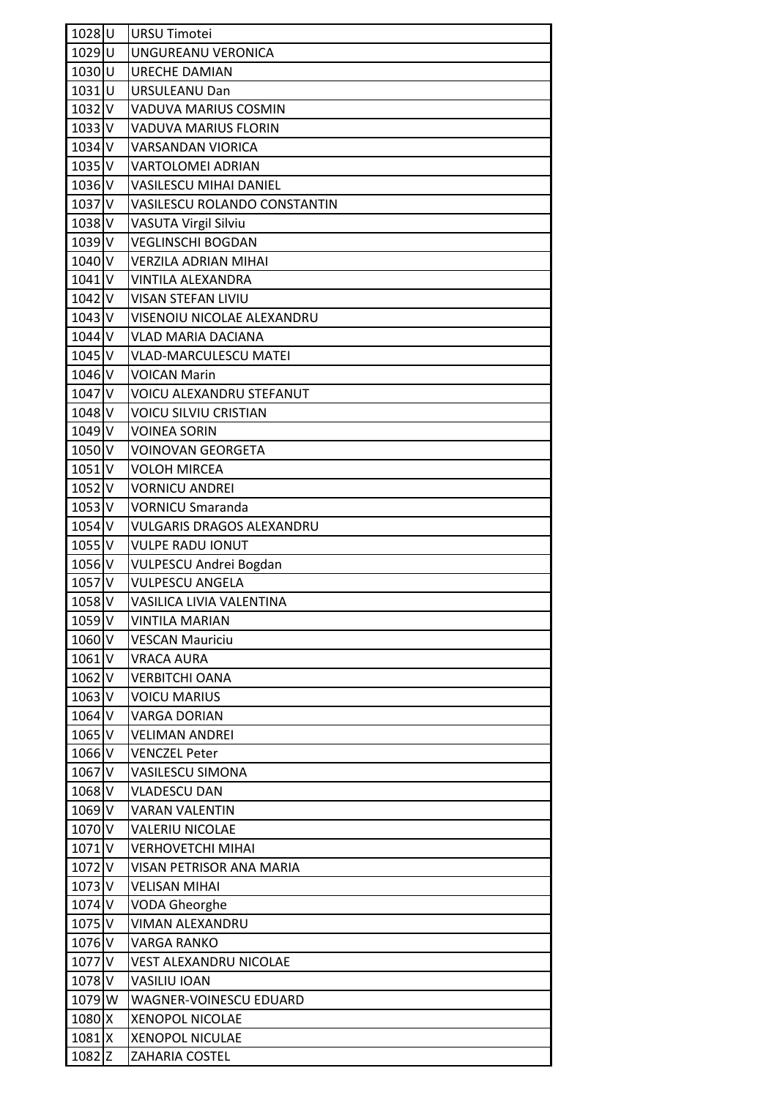| 1028U               | <b>URSU Timotei</b>              |
|---------------------|----------------------------------|
| 1029U               | UNGUREANU VERONICA               |
| $1030$ U            | <b>URECHE DAMIAN</b>             |
| 1031U               | <b>URSULEANU Dan</b>             |
| $1032$ V            | <b>VADUVA MARIUS COSMIN</b>      |
| $1033$ V            | <b>VADUVA MARIUS FLORIN</b>      |
| 1034 V              | <b>VARSANDAN VIORICA</b>         |
| $1035$ <sub>V</sub> | <b>VARTOLOMEI ADRIAN</b>         |
| $1036$ <sub>V</sub> | <b>VASILESCU MIHAI DANIEL</b>    |
| $1037$ V            | VASILESCU ROLANDO CONSTANTIN     |
| 1038 V              | VASUTA Virgil Silviu             |
| $1039$ V            | <b>VEGLINSCHI BOGDAN</b>         |
| 1040 V              | <b>VERZILA ADRIAN MIHAI</b>      |
| $1041$ <sub>V</sub> | <b>VINTILA ALEXANDRA</b>         |
| 1042 V              | <b>VISAN STEFAN LIVIU</b>        |
| $1043$ V            | VISENOIU NICOLAE ALEXANDRU       |
| 1044 V              | <b>VLAD MARIA DACIANA</b>        |
| 1045 V              | <b>VLAD-MARCULESCU MATEI</b>     |
| 1046 V              | <b>VOICAN Marin</b>              |
| 1047 V              | <b>VOICU ALEXANDRU STEFANUT</b>  |
| 1048 V              | <b>VOICU SILVIU CRISTIAN</b>     |
| 1049 V              | <b>VOINEA SORIN</b>              |
| 1050 V              | <b>VOINOVAN GEORGETA</b>         |
| $1051$ V            | <b>VOLOH MIRCEA</b>              |
| 1052 V              | <b>VORNICU ANDREI</b>            |
| $1053$ V            | <b>VORNICU Smaranda</b>          |
| $1054$ <sub>V</sub> | <b>VULGARIS DRAGOS ALEXANDRU</b> |
| $1055$ <sub>V</sub> | <b>VULPE RADU IONUT</b>          |
| 1056 V              | <b>VULPESCU Andrei Bogdan</b>    |
| 1057 V              | <b>VULPESCU ANGELA</b>           |
| 1058V               | VASILICA LIVIA VALENTINA         |
| $1059$ V            | <b>VINTILA MARIAN</b>            |
| 1060 V              | <b>VESCAN Mauriciu</b>           |
| 1061 V              | <b>VRACA AURA</b>                |
| 1062V               | <b>VERBITCHI OANA</b>            |
| $1063$ V            | <b>VOICU MARIUS</b>              |
| 1064 V              | <b>VARGA DORIAN</b>              |
| 1065 V              | <b>VELIMAN ANDREI</b>            |
| 1066 V              | <b>VENCZEL Peter</b>             |
| 1067 V              | <b>VASILESCU SIMONA</b>          |
| 1068 V              | <b>VLADESCU DAN</b>              |
| 1069 V              | <b>VARAN VALENTIN</b>            |
| 1070 V              | <b>VALERIU NICOLAE</b>           |
| 1071 <sub>V</sub>   | <b>VERHOVETCHI MIHAI</b>         |
| 1072 V              | VISAN PETRISOR ANA MARIA         |
| $1073$ V            | <b>VELISAN MIHAI</b>             |
| 1074 V              | <b>VODA Gheorghe</b>             |
| 1075 V              | <b>VIMAN ALEXANDRU</b>           |
| 1076 V              | <b>VARGA RANKO</b>               |
| 1077 V              | <b>VEST ALEXANDRU NICOLAE</b>    |
| 1078 V              | <b>VASILIU IOAN</b>              |
| 1079 W              | WAGNER-VOINESCU EDUARD           |
| 1080 X              | <b>XENOPOL NICOLAE</b>           |
| 1081 X              | <b>XENOPOL NICULAE</b>           |
| $1082$ Z            | <b>ZAHARIA COSTEL</b>            |